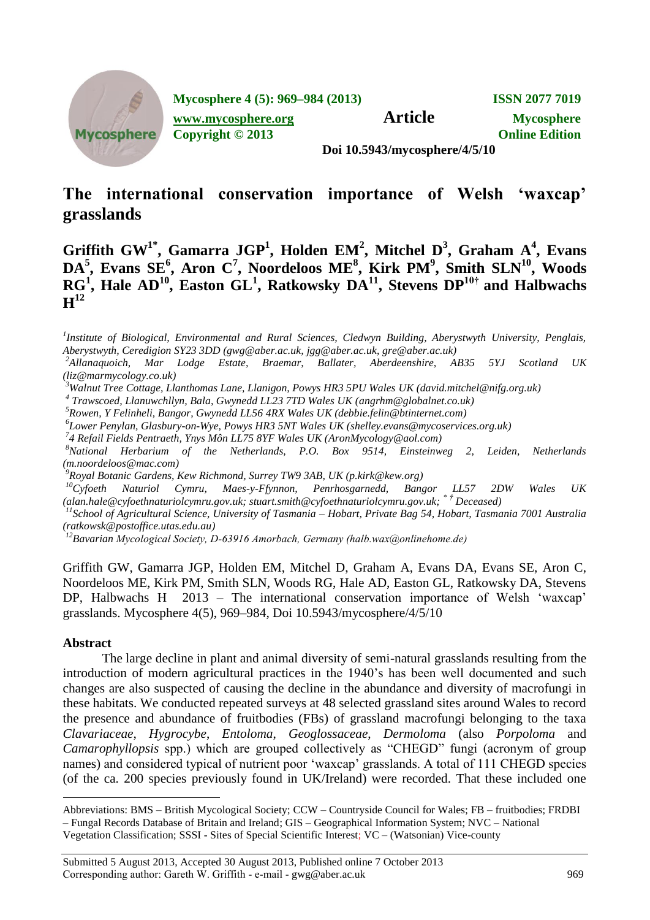

**Mycosphere 4 (5): 969–984 (2013) ISSN 2077 7019**

**[www.mycosphere.org](http://www.mycosphere.org/) Article Mycosphere** 

**Copyright © 2013 Online Edition**

**Doi 10.5943/mycosphere/4/5/10**

# **The international conservation importance of Welsh 'waxcap' grasslands**

**Griffith GW1\*, Gamarra JGP<sup>1</sup> , Holden EM<sup>2</sup> , Mitchel D<sup>3</sup> , Graham A<sup>4</sup> , Evans DA<sup>5</sup> , Evans SE<sup>6</sup> , Aron C<sup>7</sup> , Noordeloos ME<sup>8</sup> , Kirk PM<sup>9</sup> , Smith SLN<sup>10</sup>, Woods RG<sup>1</sup> , Hale AD<sup>10</sup>, Easton GL<sup>1</sup> , Ratkowsky DA<sup>11</sup>, Stevens DP10† and Halbwachs**   $\mathbf{H}^{12}$ 

*<sup>2</sup>Allanaquoich, Mar Lodge Estate, Braemar, Ballater, Aberdeenshire, AB35 5YJ Scotland UK [\(liz@marmycology.co.uk\)](mailto:liz@marmycology.co.uk)*

*<sup>3</sup>Walnut Tree Cottage, Llanthomas Lane, Llanigon, Powys HR3 5PU Wales UK [\(david.mitchel@nifg.org.uk\)](mailto:david.mitchel@nifg.org.uk)*

*4 Trawscoed, Llanuwchllyn, Bala, Gwynedd LL23 7TD Wales UK [\(angrhm@globalnet.co.uk\)](mailto:angrhm@globalnet.co.uk)*

*<sup>5</sup>Rowen, Y Felinheli, Bangor, Gwynedd LL56 4RX Wales UK [\(debbie.felin@btinternet.com\)](mailto:debbie.felin@btinternet.com)*

*6 Lower Penylan, Glasbury-on-Wye, Powys HR3 5NT Wales UK [\(shelley.evans@mycoservices.org.uk\)](mailto:shelley.evans@mycoservices.org.uk)*

*7 4 Refail Fields Pentraeth, Ynys Môn LL75 8YF Wales UK [\(AronMycology@aol.com\)](mailto:AronMycology@aol.com)*

*<sup>8</sup>National Herbarium of the Netherlands, P.O. Box 9514, Einsteinweg 2, Leiden, Netherlands [\(m.noordeloos@mac.com\)](mailto:m.noordeloos@mac.com)*

*<sup>9</sup>Royal Botanic Gardens, Kew Richmond, Surrey TW9 3AB, UK (p.kirk@kew.org)*

*<sup>10</sup>Cyfoeth Naturiol Cymru, Maes-y-Ffynnon, Penrhosgarnedd, Bangor LL57 2DW Wales UK (alan.hale@cyfoethnaturiolcymru.gov.uk; stuart.smith@cyfoethnaturiolcymru.gov.uk; \* † Deceased)*

*11 School of Agricultural Science, University of Tasmania – Hobart, Private Bag 54, Hobart, Tasmania 7001 Australia [\(ratkowsk@postoffice.utas.edu.au\)](mailto:ratkowsk@postoffice.utas.edu.au)*

*<sup>12</sup>Bavarian Mycological Society, D-63916 Amorbach, Germany (halb.wax@onlinehome.de)*

Griffith GW, Gamarra JGP, Holden EM, Mitchel D, Graham A, Evans DA, Evans SE, Aron C, Noordeloos ME, Kirk PM, Smith SLN, Woods RG, Hale AD, Easton GL, Ratkowsky DA, Stevens DP, Halbwachs H 2013 – The international conservation importance of Welsh "waxcap" grasslands. Mycosphere 4(5), 969–984, Doi 10.5943/mycosphere/4/5/10

#### **Abstract**

 $\overline{a}$ 

The large decline in plant and animal diversity of semi-natural grasslands resulting from the introduction of modern agricultural practices in the 1940"s has been well documented and such changes are also suspected of causing the decline in the abundance and diversity of macrofungi in these habitats. We conducted repeated surveys at 48 selected grassland sites around Wales to record the presence and abundance of fruitbodies (FBs) of grassland macrofungi belonging to the taxa *Clavariaceae*, *Hygrocybe*, *Entoloma*, *Geoglossaceae*, *Dermoloma* (also *Porpoloma* and *Camarophyllopsis* spp.) which are grouped collectively as "CHEGD" fungi (acronym of group names) and considered typical of nutrient poor "waxcap" grasslands. A total of 111 CHEGD species (of the ca. 200 species previously found in UK/Ireland) were recorded. That these included one

*<sup>1</sup> Institute of Biological, Environmental and Rural Sciences, Cledwyn Building, Aberystwyth University, Penglais, Aberystwyth, Ceredigion SY23 3DD (gwg@aber.ac.uk, jgg@aber.ac.uk, [gre@aber.ac.uk\)](mailto:gre@aber.ac.uk)*

Abbreviations: BMS – British Mycological Society; CCW – Countryside Council for Wales; FB – fruitbodies; FRDBI – Fungal Records Database of Britain and Ireland; GIS – Geographical Information System; NVC – National Vegetation Classification; SSSI - Sites of Special Scientific Interest; VC – (Watsonian) Vice-county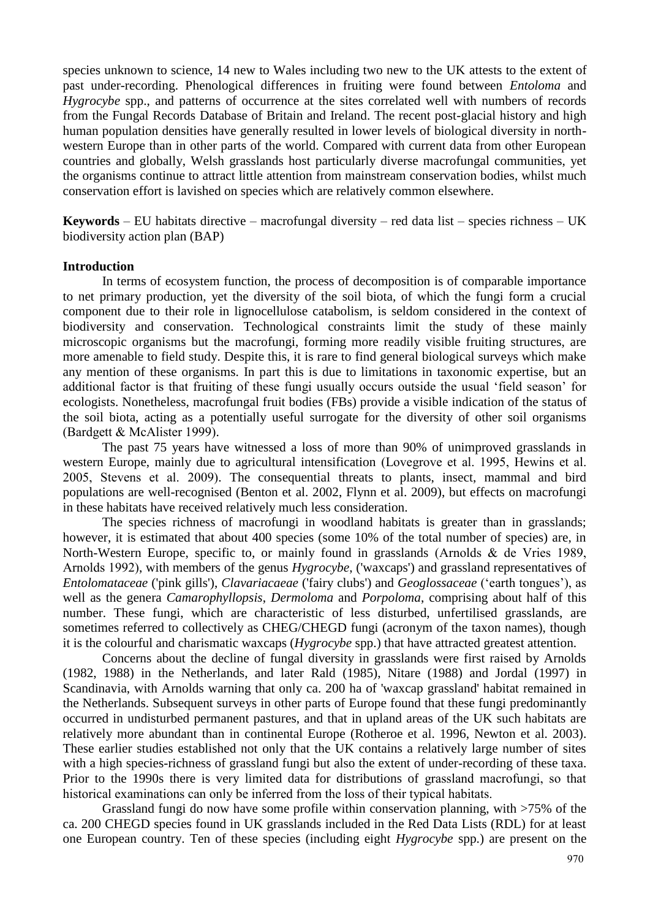species unknown to science, 14 new to Wales including two new to the UK attests to the extent of past under-recording. Phenological differences in fruiting were found between *Entoloma* and *Hygrocybe* spp., and patterns of occurrence at the sites correlated well with numbers of records from the Fungal Records Database of Britain and Ireland. The recent post-glacial history and high human population densities have generally resulted in lower levels of biological diversity in northwestern Europe than in other parts of the world. Compared with current data from other European countries and globally, Welsh grasslands host particularly diverse macrofungal communities, yet the organisms continue to attract little attention from mainstream conservation bodies, whilst much conservation effort is lavished on species which are relatively common elsewhere.

**Keywords** – EU habitats directive – macrofungal diversity – red data list – species richness – UK biodiversity action plan (BAP)

#### **Introduction**

In terms of ecosystem function, the process of decomposition is of comparable importance to net primary production, yet the diversity of the soil biota, of which the fungi form a crucial component due to their role in lignocellulose catabolism, is seldom considered in the context of biodiversity and conservation. Technological constraints limit the study of these mainly microscopic organisms but the macrofungi, forming more readily visible fruiting structures, are more amenable to field study. Despite this, it is rare to find general biological surveys which make any mention of these organisms. In part this is due to limitations in taxonomic expertise, but an additional factor is that fruiting of these fungi usually occurs outside the usual "field season" for ecologists. Nonetheless, macrofungal fruit bodies (FBs) provide a visible indication of the status of the soil biota, acting as a potentially useful surrogate for the diversity of other soil organisms (Bardgett & McAlister 1999).

The past 75 years have witnessed a loss of more than 90% of unimproved grasslands in western Europe, mainly due to agricultural intensification (Lovegrove et al. 1995, Hewins et al. 2005, Stevens et al. 2009). The consequential threats to plants, insect, mammal and bird populations are well-recognised (Benton et al. 2002, Flynn et al. 2009), but effects on macrofungi in these habitats have received relatively much less consideration.

The species richness of macrofungi in woodland habitats is greater than in grasslands; however, it is estimated that about 400 species (some 10% of the total number of species) are, in North-Western Europe, specific to, or mainly found in grasslands (Arnolds & de Vries 1989, Arnolds 1992), with members of the genus *Hygrocybe*, ('waxcaps') and grassland representatives of *Entolomataceae* ('pink gills'), *Clavariacaeae* ('fairy clubs') and *Geoglossaceae* ("earth tongues"), as well as the genera *Camarophyllopsis*, *Dermoloma* and *Porpoloma*, comprising about half of this number. These fungi, which are characteristic of less disturbed, unfertilised grasslands, are sometimes referred to collectively as CHEG/CHEGD fungi (acronym of the taxon names), though it is the colourful and charismatic waxcaps (*Hygrocybe* spp.) that have attracted greatest attention.

Concerns about the decline of fungal diversity in grasslands were first raised by Arnolds (1982, 1988) in the Netherlands, and later Rald (1985), Nitare (1988) and Jordal (1997) in Scandinavia, with Arnolds warning that only ca. 200 ha of 'waxcap grassland' habitat remained in the Netherlands. Subsequent surveys in other parts of Europe found that these fungi predominantly occurred in undisturbed permanent pastures, and that in upland areas of the UK such habitats are relatively more abundant than in continental Europe (Rotheroe et al. 1996, Newton et al. 2003). These earlier studies established not only that the UK contains a relatively large number of sites with a high species-richness of grassland fungi but also the extent of under-recording of these taxa. Prior to the 1990s there is very limited data for distributions of grassland macrofungi, so that historical examinations can only be inferred from the loss of their typical habitats.

Grassland fungi do now have some profile within conservation planning, with >75% of the ca. 200 CHEGD species found in UK grasslands included in the Red Data Lists (RDL) for at least one European country. Ten of these species (including eight *Hygrocybe* spp.) are present on the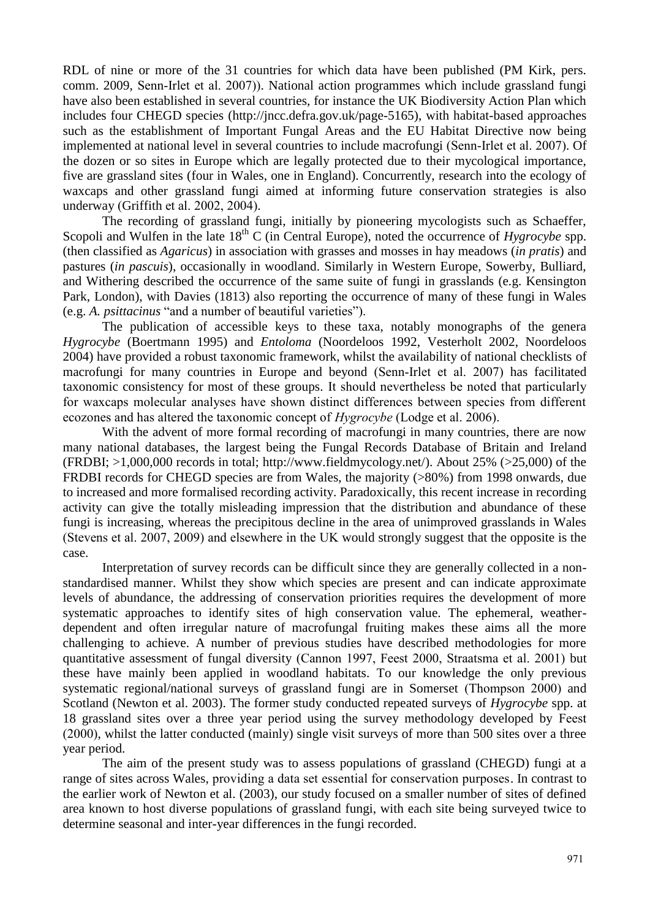RDL of nine or more of the 31 countries for which data have been published (PM Kirk, pers. comm. 2009, Senn-Irlet et al. 2007)). National action programmes which include grassland fungi have also been established in several countries, for instance the UK Biodiversity Action Plan which includes four CHEGD species [\(http://jncc.defra.gov.uk/page-5165\)](http://jncc.defra.gov.uk/page-5165), with habitat-based approaches such as the establishment of Important Fungal Areas and the EU Habitat Directive now being implemented at national level in several countries to include macrofungi (Senn-Irlet et al. 2007). Of the dozen or so sites in Europe which are legally protected due to their mycological importance, five are grassland sites (four in Wales, one in England). Concurrently, research into the ecology of waxcaps and other grassland fungi aimed at informing future conservation strategies is also underway (Griffith et al. 2002, 2004).

The recording of grassland fungi, initially by pioneering mycologists such as Schaeffer, Scopoli and Wulfen in the late 18<sup>th</sup> C (in Central Europe), noted the occurrence of *Hygrocybe* spp. (then classified as *Agaricus*) in association with grasses and mosses in hay meadows (*in pratis*) and pastures (*in pascuis*), occasionally in woodland. Similarly in Western Europe, Sowerby, Bulliard, and Withering described the occurrence of the same suite of fungi in grasslands (e.g. Kensington Park, London), with Davies (1813) also reporting the occurrence of many of these fungi in Wales (e.g. *A. psittacinus* "and a number of beautiful varieties").

The publication of accessible keys to these taxa, notably monographs of the genera *Hygrocybe* (Boertmann 1995) and *Entoloma* (Noordeloos 1992, Vesterholt 2002, Noordeloos 2004) have provided a robust taxonomic framework, whilst the availability of national checklists of macrofungi for many countries in Europe and beyond (Senn-Irlet et al. 2007) has facilitated taxonomic consistency for most of these groups. It should nevertheless be noted that particularly for waxcaps molecular analyses have shown distinct differences between species from different ecozones and has altered the taxonomic concept of *Hygrocybe* (Lodge et al. 2006).

With the advent of more formal recording of macrofungi in many countries, there are now many national databases, the largest being the Fungal Records Database of Britain and Ireland  $(FRDBI; >1,000,000$  records in total; [http://www.fieldmycology.net/\)](http://www.fieldmycology.net/). About 25% ( $>25,000$ ) of the FRDBI records for CHEGD species are from Wales, the majority (>80%) from 1998 onwards, due to increased and more formalised recording activity. Paradoxically, this recent increase in recording activity can give the totally misleading impression that the distribution and abundance of these fungi is increasing, whereas the precipitous decline in the area of unimproved grasslands in Wales (Stevens et al. 2007, 2009) and elsewhere in the UK would strongly suggest that the opposite is the case.

Interpretation of survey records can be difficult since they are generally collected in a nonstandardised manner. Whilst they show which species are present and can indicate approximate levels of abundance, the addressing of conservation priorities requires the development of more systematic approaches to identify sites of high conservation value. The ephemeral, weatherdependent and often irregular nature of macrofungal fruiting makes these aims all the more challenging to achieve. A number of previous studies have described methodologies for more quantitative assessment of fungal diversity (Cannon 1997, Feest 2000, Straatsma et al. 2001) but these have mainly been applied in woodland habitats. To our knowledge the only previous systematic regional/national surveys of grassland fungi are in Somerset (Thompson 2000) and Scotland (Newton et al. 2003). The former study conducted repeated surveys of *Hygrocybe* spp. at 18 grassland sites over a three year period using the survey methodology developed by Feest (2000), whilst the latter conducted (mainly) single visit surveys of more than 500 sites over a three year period.

The aim of the present study was to assess populations of grassland (CHEGD) fungi at a range of sites across Wales, providing a data set essential for conservation purposes. In contrast to the earlier work of Newton et al. (2003), our study focused on a smaller number of sites of defined area known to host diverse populations of grassland fungi, with each site being surveyed twice to determine seasonal and inter-year differences in the fungi recorded.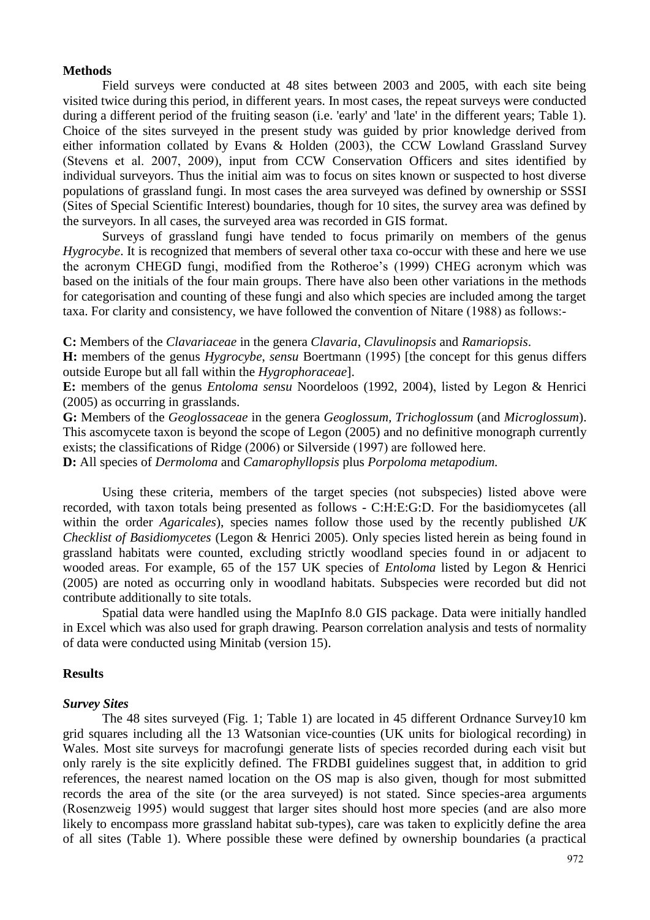#### **Methods**

Field surveys were conducted at 48 sites between 2003 and 2005, with each site being visited twice during this period, in different years. In most cases, the repeat surveys were conducted during a different period of the fruiting season (i.e. 'early' and 'late' in the different years; Table 1). Choice of the sites surveyed in the present study was guided by prior knowledge derived from either information collated by Evans & Holden (2003), the CCW Lowland Grassland Survey (Stevens et al. 2007, 2009), input from CCW Conservation Officers and sites identified by individual surveyors. Thus the initial aim was to focus on sites known or suspected to host diverse populations of grassland fungi. In most cases the area surveyed was defined by ownership or SSSI (Sites of Special Scientific Interest) boundaries, though for 10 sites, the survey area was defined by the surveyors. In all cases, the surveyed area was recorded in GIS format.

Surveys of grassland fungi have tended to focus primarily on members of the genus *Hygrocybe*. It is recognized that members of several other taxa co-occur with these and here we use the acronym CHEGD fungi, modified from the Rotheroe"s (1999) CHEG acronym which was based on the initials of the four main groups. There have also been other variations in the methods for categorisation and counting of these fungi and also which species are included among the target taxa. For clarity and consistency, we have followed the convention of Nitare (1988) as follows:-

**C:** Members of the *Clavariaceae* in the genera *Clavaria*, *Clavulinopsis* and *Ramariopsis*.

**H:** members of the genus *Hygrocybe*, *sensu* Boertmann (1995) [the concept for this genus differs outside Europe but all fall within the *Hygrophoraceae*].

**E:** members of the genus *Entoloma sensu* Noordeloos (1992, 2004), listed by Legon & Henrici (2005) as occurring in grasslands.

**G:** Members of the *Geoglossaceae* in the genera *Geoglossum, Trichoglossum* (and *Microglossum*). This ascomycete taxon is beyond the scope of Legon (2005) and no definitive monograph currently exists; the classifications of Ridge (2006) or Silverside (1997) are followed here.

**D:** All species of *Dermoloma* and *Camarophyllopsis* plus *Porpoloma metapodium.*

Using these criteria, members of the target species (not subspecies) listed above were recorded, with taxon totals being presented as follows - C:H:E:G:D. For the basidiomycetes (all within the order *Agaricales*), species names follow those used by the recently published *UK Checklist of Basidiomycetes* (Legon & Henrici 2005). Only species listed herein as being found in grassland habitats were counted, excluding strictly woodland species found in or adjacent to wooded areas. For example, 65 of the 157 UK species of *Entoloma* listed by Legon & Henrici (2005) are noted as occurring only in woodland habitats. Subspecies were recorded but did not contribute additionally to site totals.

Spatial data were handled using the MapInfo 8.0 GIS package. Data were initially handled in Excel which was also used for graph drawing. Pearson correlation analysis and tests of normality of data were conducted using Minitab (version 15).

#### **Results**

#### *Survey Sites*

The 48 sites surveyed (Fig. 1; Table 1) are located in 45 different Ordnance Survey10 km grid squares including all the 13 Watsonian vice-counties (UK units for biological recording) in Wales. Most site surveys for macrofungi generate lists of species recorded during each visit but only rarely is the site explicitly defined. The FRDBI guidelines suggest that, in addition to grid references, the nearest named location on the OS map is also given, though for most submitted records the area of the site (or the area surveyed) is not stated. Since species-area arguments (Rosenzweig 1995) would suggest that larger sites should host more species (and are also more likely to encompass more grassland habitat sub-types), care was taken to explicitly define the area of all sites (Table 1). Where possible these were defined by ownership boundaries (a practical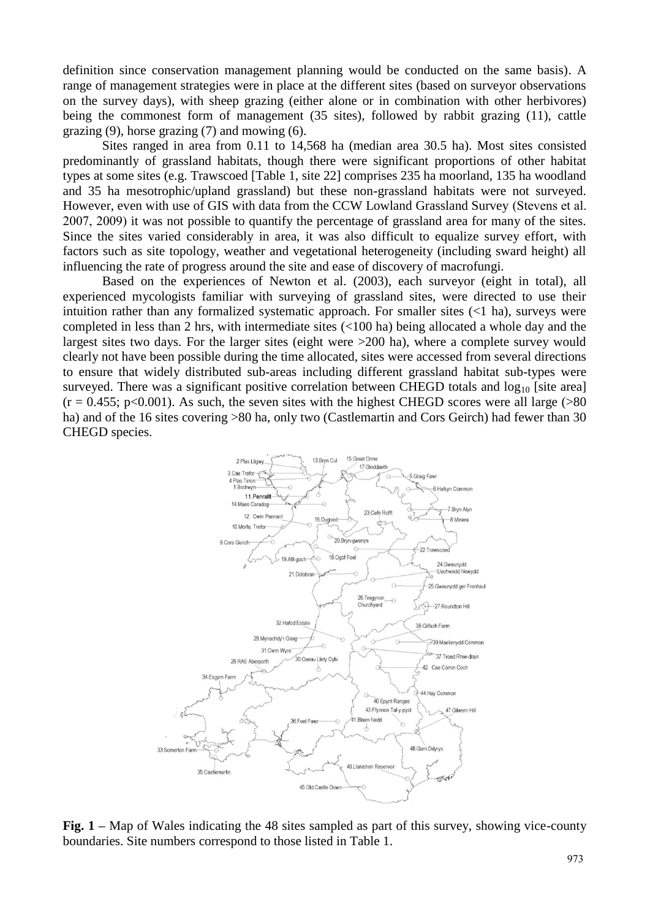definition since conservation management planning would be conducted on the same basis). A range of management strategies were in place at the different sites (based on surveyor observations on the survey days), with sheep grazing (either alone or in combination with other herbivores) being the commonest form of management (35 sites), followed by rabbit grazing (11), cattle grazing  $(9)$ , horse grazing  $(7)$  and mowing  $(6)$ .

Sites ranged in area from 0.11 to 14,568 ha (median area 30.5 ha). Most sites consisted predominantly of grassland habitats, though there were significant proportions of other habitat types at some sites (e.g. Trawscoed [Table 1, site 22] comprises 235 ha moorland, 135 ha woodland and 35 ha mesotrophic/upland grassland) but these non-grassland habitats were not surveyed. However, even with use of GIS with data from the CCW Lowland Grassland Survey (Stevens et al. 2007, 2009) it was not possible to quantify the percentage of grassland area for many of the sites. Since the sites varied considerably in area, it was also difficult to equalize survey effort, with factors such as site topology, weather and vegetational heterogeneity (including sward height) all influencing the rate of progress around the site and ease of discovery of macrofungi.

Based on the experiences of Newton et al. (2003), each surveyor (eight in total), all experienced mycologists familiar with surveying of grassland sites, were directed to use their intuition rather than any formalized systematic approach. For smaller sites  $(<1$  ha), surveys were completed in less than 2 hrs, with intermediate sites (<100 ha) being allocated a whole day and the largest sites two days. For the larger sites (eight were >200 ha), where a complete survey would clearly not have been possible during the time allocated, sites were accessed from several directions to ensure that widely distributed sub-areas including different grassland habitat sub-types were surveyed. There was a significant positive correlation between CHEGD totals and  $log_{10}$  [site area]  $(r = 0.455; p < 0.001)$ . As such, the seven sites with the highest CHEGD scores were all large (>80) ha) and of the 16 sites covering >80 ha, only two (Castlemartin and Cors Geirch) had fewer than 30 CHEGD species.



**Fig. 1 –** Map of Wales indicating the 48 sites sampled as part of this survey, showing vice-county boundaries. Site numbers correspond to those listed in Table 1.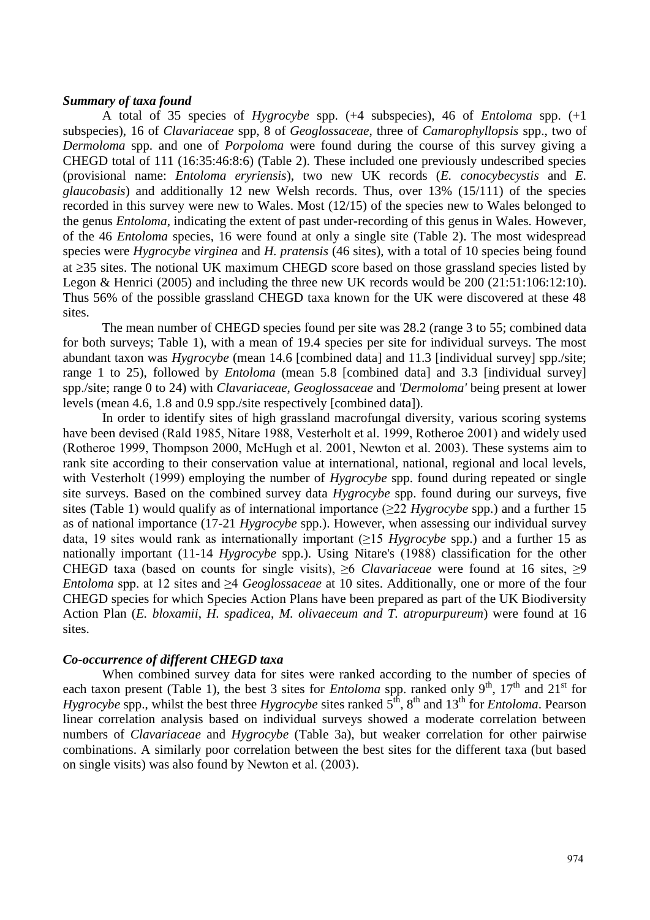## *Summary of taxa found*

A total of 35 species of *Hygrocybe* spp. (+4 subspecies), 46 of *Entoloma* spp. (+1 subspecies), 16 of *Clavariaceae* spp, 8 of *Geoglossaceae*, three of *Camarophyllopsis* spp., two of *Dermoloma* spp. and one of *Porpoloma* were found during the course of this survey giving a CHEGD total of 111 (16:35:46:8:6) (Table 2). These included one previously undescribed species (provisional name: *Entoloma eryriensis*), two new UK records (*E. conocybecystis* and *E. glaucobasis*) and additionally 12 new Welsh records. Thus, over 13% (15/111) of the species recorded in this survey were new to Wales. Most (12/15) of the species new to Wales belonged to the genus *Entoloma*, indicating the extent of past under-recording of this genus in Wales. However, of the 46 *Entoloma* species, 16 were found at only a single site (Table 2). The most widespread species were *Hygrocybe virginea* and *H. pratensis* (46 sites), with a total of 10 species being found at  $\geq$ 35 sites. The notional UK maximum CHEGD score based on those grassland species listed by Legon & Henrici (2005) and including the three new UK records would be 200 (21:51:106:12:10). Thus 56% of the possible grassland CHEGD taxa known for the UK were discovered at these 48 sites.

The mean number of CHEGD species found per site was 28.2 (range 3 to 55; combined data for both surveys; Table 1), with a mean of 19.4 species per site for individual surveys. The most abundant taxon was *Hygrocybe* (mean 14.6 [combined data] and 11.3 [individual survey] spp./site; range 1 to 25), followed by *Entoloma* (mean 5.8 [combined data] and 3.3 [individual survey] spp./site; range 0 to 24) with *Clavariaceae*, *Geoglossaceae* and *'Dermoloma'* being present at lower levels (mean 4.6, 1.8 and 0.9 spp./site respectively [combined data]).

In order to identify sites of high grassland macrofungal diversity, various scoring systems have been devised (Rald 1985, Nitare 1988, Vesterholt et al. 1999, Rotheroe 2001) and widely used (Rotheroe 1999, Thompson 2000, McHugh et al. 2001, Newton et al. 2003). These systems aim to rank site according to their conservation value at international, national, regional and local levels, with Vesterholt (1999) employing the number of *Hygrocybe* spp. found during repeated or single site surveys. Based on the combined survey data *Hygrocybe* spp. found during our surveys, five sites (Table 1) would qualify as of international importance (≥22 *Hygrocybe* spp.) and a further 15 as of national importance (17-21 *Hygrocybe* spp.). However, when assessing our individual survey data, 19 sites would rank as internationally important (≥15 *Hygrocybe* spp.) and a further 15 as nationally important (11-14 *Hygrocybe* spp.). Using Nitare's (1988) classification for the other CHEGD taxa (based on counts for single visits),  $\geq 6$  *Clavariaceae* were found at 16 sites,  $\geq 9$ *Entoloma* spp. at 12 sites and ≥4 *Geoglossaceae* at 10 sites. Additionally, one or more of the four CHEGD species for which Species Action Plans have been prepared as part of the UK Biodiversity Action Plan (*E. bloxamii*, *H. spadicea*, *M. olivaeceum and T. atropurpureum*) were found at 16 sites.

## *Co-occurrence of different CHEGD taxa*

When combined survey data for sites were ranked according to the number of species of each taxon present (Table 1), the best 3 sites for *Entoloma* spp. ranked only  $9<sup>th</sup>$ ,  $17<sup>th</sup>$  and  $21<sup>st</sup>$  for *Hygrocybe* spp., whilst the best three *Hygrocybe* sites ranked  $5<sup>th</sup>$ , 8<sup>th</sup> and 13<sup>th</sup> for *Entoloma*. Pearson linear correlation analysis based on individual surveys showed a moderate correlation between numbers of *Clavariaceae* and *Hygrocybe* (Table 3a), but weaker correlation for other pairwise combinations. A similarly poor correlation between the best sites for the different taxa (but based on single visits) was also found by Newton et al. (2003).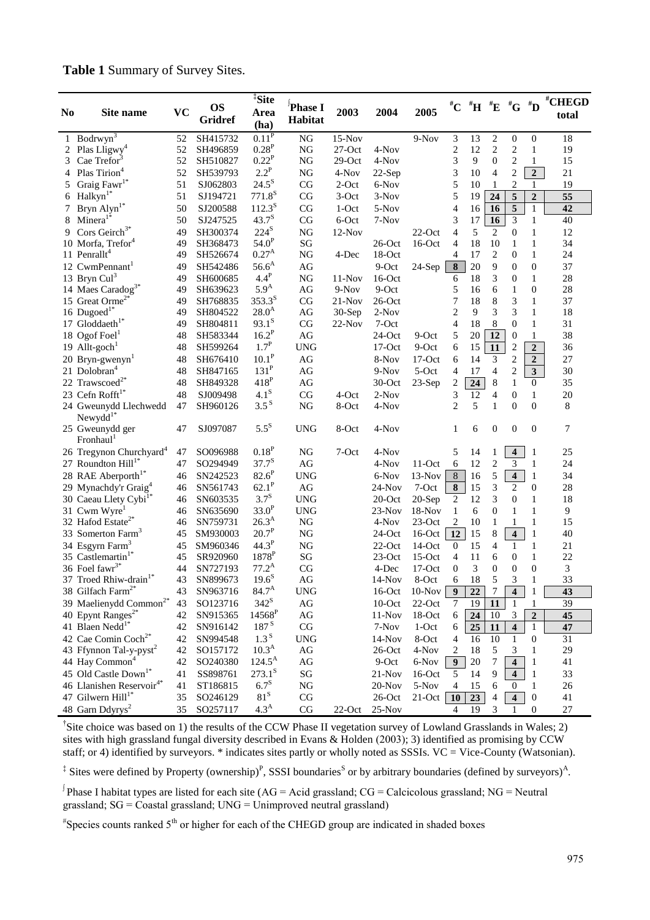## **Table 1** Summary of Survey Sites.

| N <sub>0</sub> | Site name                                | <b>VC</b> | <b>OS</b>      | <sup>‡</sup> Site<br>Area | Phase I                | 2003      | 2004      | 2005      |                         |                 |                         |                         |                         | #CHEGD          |
|----------------|------------------------------------------|-----------|----------------|---------------------------|------------------------|-----------|-----------|-----------|-------------------------|-----------------|-------------------------|-------------------------|-------------------------|-----------------|
|                |                                          |           | <b>Gridref</b> | (ha)                      | Habitat                |           |           |           |                         |                 |                         |                         |                         | total           |
|                | 1 Bodrwyn <sup>3</sup>                   | 52        | SH415732       | 0.11 <sup>P</sup>         | <b>NG</b>              | $15-Nov$  |           | $9-Nov$   | 3                       | 13              | $\overline{\mathbf{c}}$ | $\boldsymbol{0}$        | $\boldsymbol{0}$        | 18              |
| 2              | Plas Lligwy <sup>4</sup>                 | 52        | SH496859       | $0.28^P$                  | NG                     | $27$ -Oct | 4-Nov     |           | $\overline{\mathbf{c}}$ | 12              | $\overline{c}$          | $\overline{c}$          | $\mathbf{1}$            | 19              |
| 3              | Cae Trefor                               | 52        | SH510827       | $0.22^P$                  | NG                     | $29$ -Oct | 4-Nov     |           | 3                       | 9               | $\overline{0}$          | $\mathbf{2}$            | $\mathbf{1}$            | 15              |
| 4              | Plas Tirion <sup>4</sup>                 | 52        | SH539793       | $2.2^P$                   | <b>NG</b>              | 4-Nov     | $22-Sep$  |           | 3                       | 10              | $\overline{4}$          | $\overline{c}$          | $\overline{2}$          | 21              |
| 5              | Graig Fawr <sup>1*</sup>                 | 51        | SJ062803       | $24.5^{S}$                | CG                     | $2$ -Oct  | 6-Nov     |           | 5                       | 10              | $\mathbf{1}$            | $\overline{c}$          | $\mathbf{1}$            | 19              |
| 6              | $Halkyn1*$                               | 51        | SJ194721       | $771.8^{S}$               | CG                     | 3-Oct     | $3-Nov$   |           | 5                       | 19              | $\overline{24}$         | $\overline{\mathbf{5}}$ | $\overline{2}$          | $\overline{55}$ |
| 7              | Bryn $\text{Alyn}^{1*}$                  | 50        | SJ200588       | $112.3^{S}$               | CG                     | 1-Oct     | 5-Nov     |           | $\overline{4}$          | 16              | 16                      | $\overline{5}$          | $\mathbf{1}$            | 42              |
| 8              | $Minera1*$                               | 50        | SJ247525       | $43.7^{S}$                | CG                     | 6-Oct     | 7-Nov     |           | 3                       | 17              | 16                      | $\mathfrak{Z}$          | $\mathbf{1}$            | 40              |
| 9              | Cors Geirch <sup>3*</sup>                | 49        | SH300374       | $224^{\text{S}}$          | <b>NG</b>              | $12-Nov$  |           | $22$ -Oct | $\overline{4}$          | 5               | $\mathbf{2}$            | $\boldsymbol{0}$        | $\mathbf{1}$            | 12              |
|                | 10 Morfa, Trefor <sup>4</sup>            | 49        | SH368473       | 54.0 <sup>P</sup>         | SG                     |           | $26$ -Oct | $16$ -Oct | $\overline{4}$          | 18              | 10                      | $\mathbf{1}$            | $\mathbf{1}$            | 34              |
|                | 11 Penrallt <sup>4</sup>                 | 49        | SH526674       | $0.27^{\rm A}$            | NG                     | 4-Dec     | 18-Oct    |           | 4                       | 17              | $\overline{c}$          | $\boldsymbol{0}$        | $\mathbf{1}$            | 24              |
|                | 12 CwmPennant <sup>1</sup>               | 49        | SH542486       | $56.6^{\rm A}$            | AG                     |           | 9-Oct     | 24-Sep    | $\bf 8$                 | 20              | 9                       | $\boldsymbol{0}$        | $\mathbf{0}$            | 37              |
|                | 13 Bryn Cul <sup>3</sup>                 | 49        | SH600685       | $4.4^P$                   | <b>NG</b>              | $11-Nov$  | $16$ -Oct |           | 6                       | 18              | 3                       | $\mathbf{0}$            | $\mathbf{1}$            | 28              |
|                | 14 Maes Caradog <sup>3*</sup>            | 49        | SH639623       | 5.9 <sup>A</sup>          | AG                     | $9-Nov$   | 9-Oct     |           | 5                       | 16              | 6                       | $\mathbf{1}$            | $\mathbf{0}$            | 28              |
|                | 15 Great Orme <sup>2*</sup>              | 49        | SH768835       | $353.3^{S}$               | CG                     | $21-Nov$  | $26$ -Oct |           | 7                       | 18              | 8                       | 3                       | $\mathbf{1}$            | 37              |
|                | 16 Dugoed <sup>1*</sup>                  | 49        | SH804522       | $28.0^{A}$                | AG                     | 30-Sep    | $2-Nov$   |           | $\overline{c}$          | 9               | 3                       | 3                       | $\mathbf{1}$            | 18              |
|                | 17 Gloddaeth <sup>1*</sup>               | 49        | SH804811       | $93.1^{S}$                | CG                     | $22-Nov$  | 7-Oct     |           | 4                       | 18              | $\,$ 8 $\,$             | $\mathbf{0}$            | $\mathbf{1}$            | 31              |
|                | 18 Ogof Foel $^1$                        | 48        | SH583344       | $16.2^P$                  | AG                     |           | 24-Oct    | 9-Oct     | 5                       | 20              | $\overline{12}$         | $\boldsymbol{0}$        | $\mathbf{1}$            | 38              |
|                | 19 Allt-goch <sup>1</sup>                | 48        | SH599264       | $1.7^P$                   | <b>UNG</b>             |           | $17$ -Oct | 9-Oct     | 6                       | 15              | 11                      | $\overline{c}$          | $\overline{2}$          | 36              |
|                | 20 Bryn-gwenyn $1$                       | 48        | SH676410       | 10.1 <sup>P</sup>         | AG                     |           | 8-Nov     | $17$ -Oct | 6                       | 14              | 3                       | $\overline{c}$          | $\mathbf 2$             | 27              |
|                | 21 Dolobran <sup>4</sup>                 | 48        | SH847165       | 131 <sup>P</sup>          | AG                     |           | $9-Nov$   | 5-Oct     | 4                       | 17              | $\overline{4}$          | $\overline{2}$          | $\overline{\mathbf{3}}$ | 30              |
|                | 22 Trawscoed <sup>2*</sup>               | 48        | SH849328       | $418^{\rm P}$             | AG                     |           | 30-Oct    | $23-Sep$  | $\overline{c}$          | $\overline{24}$ | $\,8\,$                 | $\mathbf{1}$            | $\boldsymbol{0}$        | 35              |
|                | 23 Cefn $Rofft^{1*}$                     | 48        | SJ009498       | 4.1 <sup>S</sup>          | CG                     | 4-Oct     | $2-Nov$   |           | 3                       | 12              | $\overline{4}$          | $\boldsymbol{0}$        | $\mathbf{1}$            | $20\,$          |
|                | 24 Gweunydd Llechwedd<br>$Newydd1*$      | 47        | SH960126       | 3.5 <sup>S</sup>          | <b>NG</b>              | 8-Oct     | 4-Nov     |           | $\overline{2}$          | 5               | $\mathbf{1}$            | $\overline{0}$          | $\overline{0}$          | 8               |
|                | 25 Gweunydd ger<br>Fronhaul <sup>1</sup> | 47        | SJ097087       | $5.5^{\rm S}$             | <b>UNG</b>             | 8-Oct     | 4-Nov     |           | 1                       | 6               | $\boldsymbol{0}$        | $\boldsymbol{0}$        | $\boldsymbol{0}$        | 7               |
|                | 26 Tregynon Churchyard <sup>4</sup>      | 47        | SO096988       | 0.18 <sup>P</sup>         | <b>NG</b>              | 7-Oct     | 4-Nov     |           | 5                       | 14              | 1                       | $\overline{\mathbf{4}}$ | 1                       | 25              |
|                | 27 Roundton Hill <sup>1*</sup>           | 47        | SO294949       | $37.7^{S}$                | AG                     |           | 4-Nov     | $11-Oct$  | 6                       | 12              | $\mathfrak{2}$          | 3                       | $\mathbf{1}$            | 24              |
|                | 28 RAE Aberporth <sup>1*</sup>           | 46        | SN242523       | $82.6^P$                  | <b>UNG</b>             |           | 6-Nov     | $13-Nov$  | 8                       | 16              | 5                       | $\overline{\mathbf{4}}$ | $\mathbf{1}$            | 34              |
|                | 29 Mynachdy'r Graig <sup>4</sup>         | 46        | SN561743       | $62.1^P$                  | AG                     |           | $24-Nov$  | 7-Oct     | ${\bf 8}$               | 15              | 3                       | $\overline{2}$          | $\boldsymbol{0}$        | $28\,$          |
|                | 30 Caeau Llety Cybi <sup>1*</sup>        | 46        | SN603535       | 3.7 <sup>S</sup>          | <b>UNG</b>             |           | 20-Oct    | $20-Sep$  | $\overline{c}$          | 12              | 3                       | $\boldsymbol{0}$        | $\mathbf{1}$            | 18              |
|                | 31 Cwm Wyre <sup>1</sup>                 | 46        | SN635690       | 33.0 <sup>P</sup>         | <b>UNG</b>             |           | $23-Nov$  | $18-Nov$  | $\mathbf{1}$            | 6               | $\theta$                | 1                       | $\mathbf{1}$            | 9               |
|                | 32 Hafod Estate <sup>2*</sup>            | 46        | SN759731       | $26.3^{A}$                | <b>NG</b>              |           | 4-Nov     | $23-Oct$  | $\overline{c}$          | 10              | $\mathbf{1}$            | $\mathbf{1}$            | $\mathbf{1}$            | 15              |
|                | 33 Somerton Farm <sup>3</sup>            | 45        | SM930003       | $20.7^P$                  | <b>NG</b>              |           | 24-Oct    | $16$ -Oct | 12                      | 15              | $8\,$                   | $\overline{\mathbf{4}}$ | $\mathbf{1}$            | 40              |
|                | 34 Esgyrn Farm <sup>3</sup>              | 45        | SM960346       | 44.3 <sup>P</sup>         | <b>NG</b>              |           | $22$ -Oct | 14-Oct    | $\boldsymbol{0}$        | 15              | $\overline{4}$          | $\mathbf{1}$            | 1                       | 21              |
|                | 35 Castlemartin <sup>1*</sup>            | 45        | SR920960       | $1878^P$                  | SG                     |           | $23$ -Oct | $15$ -Oct | $\overline{4}$          | 11              | 6                       | $\mathbf{0}$            | 1                       | 22              |
|                | 36 Foel fawr <sup>3*</sup>               | 44        | SN727193       | $77.2^{\rm A}$            | CG                     |           | 4-Dec     | $17$ -Oct | $\boldsymbol{0}$        | 3               | $\mathbf{0}$            | $\theta$                | $\mathbf{0}$            | 3               |
|                | 37 Troed Rhiw-drain <sup>1*</sup>        | 43        | SN899673       | $19.6^{S}$                | $\rm{AG}$              |           | $14$ -Nov | 8-Oct     | 6                       | $18\,$          | 5                       | 3                       | 1                       | 33              |
|                | 38 Gilfach Farm <sup>2*</sup>            | 43        | SN963716       | $84.7^{A}$                | <b>UNG</b>             |           | 16-Oct    | $10-Nov$  | 9                       | $22\,$          | 7                       | $\overline{\mathbf{4}}$ | 1                       | 43              |
|                | 39 Maelienydd Common <sup>2*</sup>       | 43        | SO123716       | $342^{\rm S}$             | AG                     |           | $10$ -Oct | $22$ -Oct | 7                       | 19              | 11                      | 1                       | 1                       | 39              |
|                | 40 Epynt Ranges <sup>2*</sup>            | 42        | SN915365       | $14568^P$                 | $\rm{AG}$              |           | $11-Nov$  | 18-Oct    | 6                       | 24              | 10                      | 3                       | $\boldsymbol{2}$        | 45              |
|                | 41 Blaen Nedd <sup>1*</sup>              | 42        | SN916142       | 187 <sup>S</sup>          | $\rm CG$               |           | 7-Nov     | $1$ -Oct  | 6                       | 25              | 11                      | $\overline{\mathbf{4}}$ | $\mathbf{1}$            | 47              |
|                | 42 Cae Comin Coch <sup>2*</sup>          | 42        | SN994548       | 1.3 <sup>S</sup>          | <b>UNG</b>             |           | $14-Nov$  | 8-Oct     | 4                       | 16              | 10                      | 1                       | $\boldsymbol{0}$        | 31              |
|                | 43 Ffynnon Tal-y-pyst <sup>2</sup>       | 42        | SO157172       | 10.3 <sup>A</sup>         | AG                     |           | $26$ -Oct | 4-Nov     | 2                       | 18              | 5                       | 3                       | 1                       | 29              |
|                | 44 Hay Common <sup>4</sup>               | 42        | SO240380       | $124.5^{\rm A}$           | AG                     |           | 9-Oct     | 6-Nov     | 9                       | 20              | 7                       | 4                       | 1                       | 41              |
|                | 45 Old Castle Down <sup>1*</sup>         | 41        | SS898761       | $273.1^{S}$               | $\mathbf{S}\mathbf{G}$ |           | $21-Nov$  | 16-Oct    | 5                       | 14              | 9                       | 4                       | 1                       | 33              |
|                | 46 Llanishen Reservoir <sup>4*</sup>     | 41        | ST186815       | 6.7 <sup>S</sup>          | NG                     |           | $20$ -Nov | 5-Nov     | 4                       | 15              | 6                       | 0                       | 1                       | 26              |
|                | 47 Gilwern Hill <sup>1*</sup>            | 35        | SO246129       | 81 <sup>S</sup>           | CG                     |           | $26$ -Oct | $21$ -Oct | 10                      | 23              | 4                       | $\overline{\mathbf{4}}$ | $\boldsymbol{0}$        | 41              |
|                | 48 Garn Ddyrys <sup>2</sup>              | 35        | SO257117       | $4.3^{\rm A}$             | CG                     | $22$ -Oct | $25-Nov$  |           | 4                       | 19              | 3                       | 1                       | $\mathbf{0}$            | 27              |

<sup>†</sup>Site choice was based on 1) the results of the CCW Phase II vegetation survey of Lowland Grasslands in Wales; 2) sites with high grassland fungal diversity described in Evans & Holden (2003); 3) identified as promising by CCW staff; or 4) identified by surveyors. \* indicates sites partly or wholly noted as SSSIs. VC = Vice-County (Watsonian).

<sup>‡</sup> Sites were defined by Property (ownership)<sup>P</sup>, SSSI boundaries<sup>S</sup> or by arbitrary boundaries (defined by surveyors)<sup>A</sup>.

Phase I habitat types are listed for each site (AG = Acid grassland; CG = Calcicolous grassland; NG = Neutral grassland; SG = Coastal grassland; UNG = Unimproved neutral grassland)

 $*$ Species counts ranked  $5<sup>th</sup>$  or higher for each of the CHEGD group are indicated in shaded boxes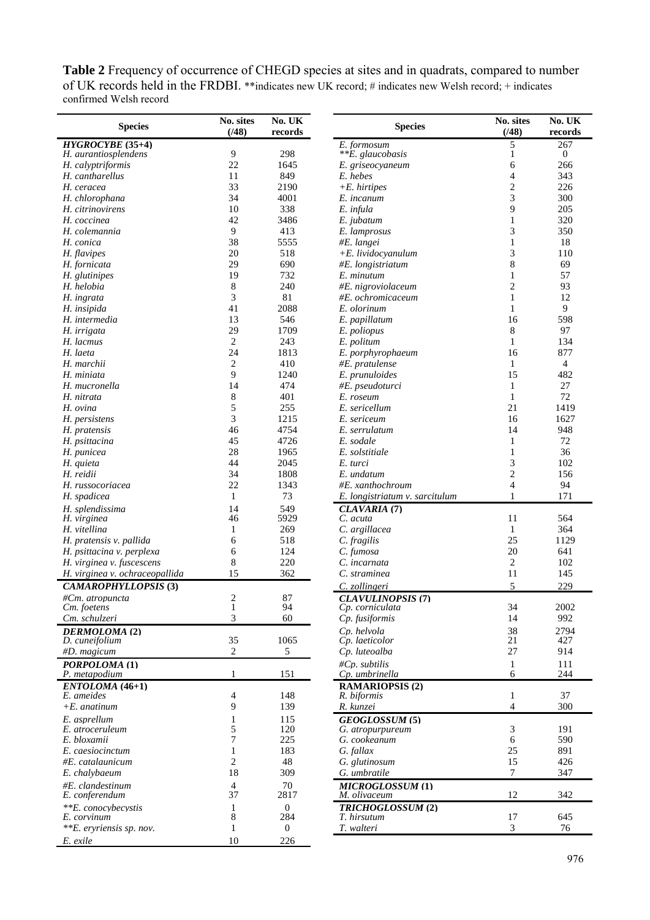**Table 2** Frequency of occurrence of CHEGD species at sites and in quadrats, compared to number of UK records held in the FRDBI. \*\*indicates new UK record; # indicates new Welsh record; + indicates confirmed Welsh record

| <b>Species</b>                     | No. UK<br>No. sites<br>(748)<br>records |                  | <b>Species</b>                          | No. sites<br>(148)                       | No. UK<br>records |  |
|------------------------------------|-----------------------------------------|------------------|-----------------------------------------|------------------------------------------|-------------------|--|
| $HYGROCYBE (35+4)$                 |                                         |                  | E. formosum                             | 5                                        | 267               |  |
| H. aurantiosplendens               | 9                                       | 298              | **E. glaucobasis                        | 1                                        | $\mathbf{0}$      |  |
| H. calyptriformis                  | 22                                      | 1645             | E. griseocyaneum                        | 6                                        | 266               |  |
| H. cantharellus                    | 11                                      | 849              | E. hebes                                | $\overline{\mathcal{L}}$                 | 343               |  |
| H. ceracea                         | 33                                      | 2190             | $+E.$ hirtipes                          | $\overline{c}$                           | 226               |  |
| H. chlorophana                     | 34                                      | 4001             | E. incanum                              | 3                                        | 300               |  |
| H. citrinovirens                   | 10                                      | 338              | E. infula                               | 9                                        | 205               |  |
| H. coccinea                        | 42                                      | 3486             | E. jubatum                              | $\mathbf{1}$                             | 320               |  |
| H. colemannia                      | 9                                       | 413              | E. lamprosus                            | 3                                        | 350               |  |
| H. conica                          | 38                                      | 5555             | #E. langei                              | $\mathbf{1}$                             | 18                |  |
| H. flavipes                        | 20                                      | 518              | $+E.$ lividocyanulum                    | 3                                        | 110               |  |
| H. fornicata                       | 29                                      | 690              | #E. longistriatum                       | 8<br>1                                   | 69                |  |
| H. glutinipes<br>H. helobia        | 19                                      | 732<br>240       | E. minutum                              | 2                                        | 57<br>93          |  |
|                                    | 8<br>3                                  | 81               | #E. nigroviolaceum                      | $\mathbf{1}$                             | 12                |  |
| H. ingrata<br>H. insipida          | 41                                      | 2088             | #E. ochromicaceum<br>E. olorinum        | $\mathbf{1}$                             | 9                 |  |
| H. intermedia                      | 13                                      | 546              |                                         | 16                                       | 598               |  |
| H. irrigata                        | 29                                      | 1709             | E. papillatum<br>E. poliopus            | 8                                        | 97                |  |
| H. lacmus                          | $\overline{2}$                          | 243              | E. politum                              | $\mathbf{1}$                             | 134               |  |
| H. laeta                           | 24                                      | 1813             | E. porphyrophaeum                       | 16                                       | 877               |  |
| H. marchii                         | $\overline{c}$                          | 410              | $#E.$ pratulense                        | $\mathbf{1}$                             | $\overline{4}$    |  |
| H. miniata                         | 9                                       | 1240             | E. prunuloides                          | 15                                       | 482               |  |
| H. mucronella                      | 14                                      | 474              | #E. pseudoturci                         | $\mathbf{1}$                             | 27                |  |
| H. nitrata                         | 8                                       | 401              | E. roseum                               | $\mathbf{1}$                             | 72                |  |
| H. ovina                           | 5                                       | 255              | E. sericellum                           | 21                                       | 1419              |  |
| H. persistens                      | 3                                       | 1215             | E. sericeum                             | 16                                       | 1627              |  |
| H. pratensis                       | 46                                      | 4754             | E. serrulatum                           | 14                                       | 948               |  |
| H. psittacina                      | 45                                      | 4726             | E. sodale                               | $\mathbf{1}$                             | 72                |  |
| H. punicea                         | 28                                      | 1965             | E. solstitiale                          | $\mathbf{1}$                             | 36                |  |
| H. quieta                          | 44                                      | 2045             | E. turci                                | 3                                        | 102               |  |
| H. reidii                          | 34                                      | 1808             | E. undatum                              | $\overline{c}$                           | 156               |  |
| H. russocoriacea                   | 22                                      | 1343             | #E. xanthochroum                        | $\overline{4}$                           | 94                |  |
| H. spadicea                        | $\mathbf{1}$                            | 73               | E. longistriatum v. sarcitulum          | $\mathbf{1}$                             | 171               |  |
| H. splendissima                    | 14                                      | 549              | CLAVARIA (7)                            |                                          |                   |  |
| H. virginea                        | 46                                      | 5929             | C. acuta                                | 11                                       | 564               |  |
| H. vitellina                       | 1                                       | 269              | C. argillacea                           | $\mathbf{1}$                             | 364               |  |
| H. pratensis v. pallida            | 6                                       | 518              | C. fragilis                             | 25                                       | 1129              |  |
| H. psittacina v. perplexa          | 6                                       | 124              | C. fumosa                               | 20                                       | 641               |  |
| H. virginea v. fuscescens          | 8                                       | 220              | C. incarnata                            | $\overline{c}$                           | 102               |  |
| H. virginea v. ochraceopallida     | 15                                      | 362              | C. straminea                            | 11                                       | 145               |  |
| <b>CAMAROPHYLLOPSIS (3)</b>        |                                         |                  | C. zollingeri                           | 5                                        | 229               |  |
| #Cm. atropuncta                    | 2                                       | 87               | <b>CLAVULINOPSIS (7)</b>                |                                          |                   |  |
| Cm. foetens                        | $\mathbf{1}$                            | 94               | Cp. corniculata                         | 34                                       | 2002              |  |
| Cm. schulzeri                      | 3                                       | 60               | Cp. fusiformis                          | 14                                       | 992               |  |
| DERMOLOMA (2)                      |                                         |                  | Cp. helvola                             | 38                                       | 2794              |  |
| D. cuneifolium                     | 35                                      | 1065             | Cp. laeticolor                          | 21                                       | 427               |  |
| #D. magicum                        | $\overline{2}$                          | 5                | Cp. luteoalba                           | 27                                       | 914               |  |
| PORPOLOMA (1)                      |                                         |                  | #Cp. subtilis                           | $\mathbf{1}$                             | 111               |  |
| P. metapodium                      | $\mathbf{1}$                            | 151              | Cp. umbrinella                          | 6                                        | 244               |  |
| ENTOLOMA (46+1)                    |                                         |                  | <b>RAMARIOPSIS (2)</b>                  |                                          |                   |  |
| E. ameides                         | 4                                       | 148              | R. biformis                             | $\mathbf{1}$<br>$\overline{\mathcal{L}}$ | 37                |  |
| $+E$ . anatinum                    | 9                                       | 139              | R. kunzei                               |                                          | 300               |  |
| E. asprellum                       | 1                                       | 115<br>120       | GEOGLOSSUM (5)                          | 3                                        | 191               |  |
| E. atroceruleum<br>E. bloxamii     | 5<br>7                                  | 225              | G. atropurpureum<br>G. cookeanum        | 6                                        | 590               |  |
| E. caesiocinctum                   | 1                                       | 183              | G. fallax                               | 25                                       | 891               |  |
| #E. catalaunicum                   | $\overline{c}$                          | 48               | G. glutinosum                           | 15                                       | 426               |  |
| E. chalybaeum                      | 18                                      | 309              | G. umbratile                            | $\tau$                                   | 347               |  |
|                                    |                                         | 70               |                                         |                                          |                   |  |
| #E. clandestinum<br>E. conferendum | $\overline{4}$<br>37                    | 2817             | <b>MICROGLOSSUM (1)</b><br>M. olivaceum | 12                                       | 342               |  |
| **E. conocybecystis                |                                         | $\boldsymbol{0}$ | TRICHOGLOSSUM (2)                       |                                          |                   |  |
| E. corvinum                        | 1<br>8                                  | 284              | T. hirsutum                             | 17                                       | 645               |  |
| ** <i>E.</i> eryriensis sp. nov.   | $\mathbf{1}$                            | $\theta$         | T. walteri                              | 3                                        | 76                |  |
| E. exile                           | 10                                      | 226              |                                         |                                          |                   |  |
|                                    |                                         |                  |                                         |                                          |                   |  |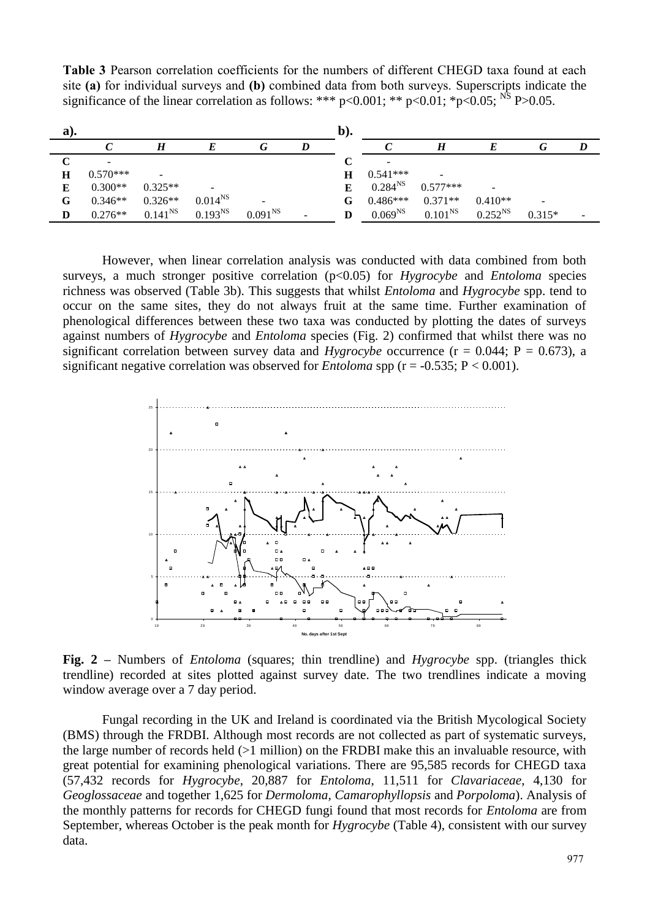**Table 3** Pearson correlation coefficients for the numbers of different CHEGD taxa found at each site **(a)** for individual surveys and **(b)** combined data from both surveys. Superscripts indicate the significance of the linear correlation as follows: \*\*\*  $p<0.001$ ; \*\*  $p<0.01$ ; \* $p<0.05$ ; <sup>NS</sup> P>0.05.

| a). |            |              |              |                     | b). |              |                  |                          |                          |  |
|-----|------------|--------------|--------------|---------------------|-----|--------------|------------------|--------------------------|--------------------------|--|
|     |            |              |              | lτ                  |     |              | $\boldsymbol{H}$ |                          | G                        |  |
|     |            |              |              |                     |     |              |                  |                          |                          |  |
| Н   | $0.570***$ | -            |              |                     | H   | $0.541***$   |                  |                          |                          |  |
| Е   | $0.300**$  | $0.325**$    |              |                     | E   | $0.284^{NS}$ | $0.577***$       | $\overline{\phantom{a}}$ |                          |  |
| G   | $0.346**$  | $0.326**$    | $0.014^{NS}$ |                     | G.  | $0.486***$   | $0.371**$        | $0.410**$                | $\overline{\phantom{a}}$ |  |
| D   | $0.276**$  | $0.141^{NS}$ | $0.193^{NS}$ | 0.091 <sup>NS</sup> | D   | $0.069^{NS}$ | $0.101^{NS}$     | $0.252^{NS}$             | $0.315*$                 |  |

However, when linear correlation analysis was conducted with data combined from both surveys, a much stronger positive correlation (p<0.05) for *Hygrocybe* and *Entoloma* species richness was observed (Table 3b). This suggests that whilst *Entoloma* and *Hygrocybe* spp. tend to occur on the same sites, they do not always fruit at the same time. Further examination of phenological differences between these two taxa was conducted by plotting the dates of surveys against numbers of *Hygrocybe* and *Entoloma* species (Fig. 2) confirmed that whilst there was no significant correlation between survey data and *Hygrocybe* occurrence ( $r = 0.044$ ;  $P = 0.673$ ), a significant negative correlation was observed for *Entoloma* spp ( $r = -0.535$ ;  $P < 0.001$ ).



**Fig. 2 –** Numbers of *Entoloma* (squares; thin trendline) and *Hygrocybe* spp. (triangles thick trendline) recorded at sites plotted against survey date. The two trendlines indicate a moving window average over a 7 day period.

Fungal recording in the UK and Ireland is coordinated via the British Mycological Society (BMS) through the FRDBI. Although most records are not collected as part of systematic surveys, the large number of records held (>1 million) on the FRDBI make this an invaluable resource, with great potential for examining phenological variations. There are 95,585 records for CHEGD taxa (57,432 records for *Hygrocybe*, 20,887 for *Entoloma*, 11,511 for *Clavariaceae*, 4,130 for *Geoglossaceae* and together 1,625 for *Dermoloma, Camarophyllopsis* and *Porpoloma*). Analysis of the monthly patterns for records for CHEGD fungi found that most records for *Entoloma* are from September, whereas October is the peak month for *Hygrocybe* (Table 4), consistent with our survey data.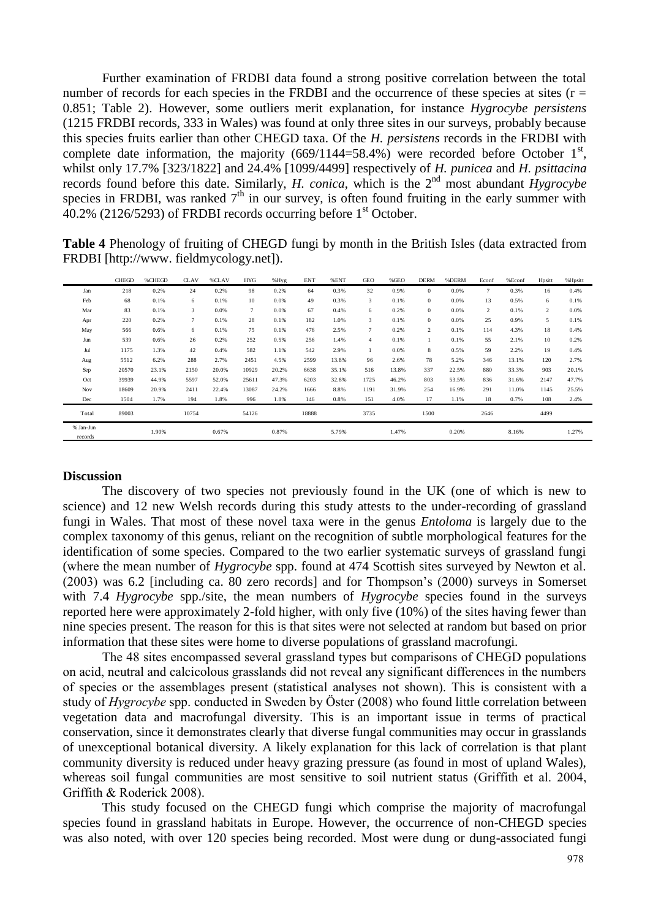Further examination of FRDBI data found a strong positive correlation between the total number of records for each species in the FRDBI and the occurrence of these species at sites ( $r =$ 0.851; Table 2). However, some outliers merit explanation, for instance *Hygrocybe persistens* (1215 FRDBI records, 333 in Wales) was found at only three sites in our surveys, probably because this species fruits earlier than other CHEGD taxa. Of the *H. persistens* records in the FRDBI with complete date information, the majority  $(669/1144=58.4\%)$  were recorded before October 1<sup>st</sup>, whilst only 17.7% [323/1822] and 24.4% [1099/4499] respectively of *H. punicea* and *H. psittacina* records found before this date. Similarly, *H. conica*, which is the 2<sup>nd</sup> most abundant *Hygrocybe* species in FRDBI, was ranked  $7<sup>th</sup>$  in our survey, is often found fruiting in the early summer with  $40.2\%$  (2126/5293) of FRDBI records occurring before  $1<sup>st</sup>$  October.

**Table 4** Phenology of fruiting of CHEGD fungi by month in the British Isles (data extracted from FRDBI [http://www. fieldmycology.net]).

| FRDBI [http://www.fieldmycology.net]). |              | ັ      |             | ັ     |            |       | ັ          |       |                |       |                |       |                |        |                |         |
|----------------------------------------|--------------|--------|-------------|-------|------------|-------|------------|-------|----------------|-------|----------------|-------|----------------|--------|----------------|---------|
|                                        | <b>CHEGD</b> | %CHEGD | <b>CLAV</b> | %CLAV | <b>HYG</b> | %Hyg  | <b>ENT</b> | %ENT  | <b>GEO</b>     | %GEO  | <b>DERM</b>    | %DERM | Econf          | %Econf | Hpsitt         | %Hpsitt |
| Jan                                    | 218          | 0.2%   | 24          | 0.2%  | 98         | 0.2%  | 64         | 0.3%  | 32             | 0.9%  | $\mathbf{0}$   | 0.0%  | $\tau$         | 0.3%   | 16             | 0.4%    |
| Feb                                    | 68           | 0.1%   | 6           | 0.1%  | 10         | 0.0%  | 49         | 0.3%  | 3              | 0.1%  | $\mathbf{0}$   | 0.0%  | 13             | 0.5%   | 6              | 0.1%    |
| Mar                                    | 83           | 0.1%   | 3           | 0.0%  | $\tau$     | 0.0%  | 67         | 0.4%  | 6              | 0.2%  | $\mathbf{0}$   | 0.0%  | $\overline{2}$ | 0.1%   | $\overline{2}$ | 0.0%    |
| Apr                                    | 220          | 0.2%   | $\tau$      | 0.1%  | 28         | 0.1%  | 182        | 1.0%  | 3              | 0.1%  | $\mathbf{0}$   | 0.0%  | 25             | 0.9%   | 5              | 0.1%    |
| May                                    | 566          | 0.6%   | 6           | 0.1%  | 75         | 0.1%  | 476        | 2.5%  | $\overline{7}$ | 0.2%  | $\overline{c}$ | 0.1%  | 114            | 4.3%   | 18             | 0.4%    |
| Jun                                    | 539          | 0.6%   | 26          | 0.2%  | 252        | 0.5%  | 256        | 1.4%  | $\overline{4}$ | 0.1%  |                | 0.1%  | 55             | 2.1%   | 10             | 0.2%    |
| Jul                                    | 1175         | 1.3%   | 42          | 0.4%  | 582        | 1.1%  | 542        | 2.9%  |                | 0.0%  | 8              | 0.5%  | 59             | 2.2%   | 19             | 0.4%    |
| Aug                                    | 5512         | 6.2%   | 288         | 2.7%  | 2451       | 4.5%  | 2599       | 13.8% | 96             | 2.6%  | 78             | 5.2%  | 346            | 13.1%  | 120            | 2.7%    |
| Sep                                    | 20570        | 23.1%  | 2150        | 20.0% | 10929      | 20.2% | 6638       | 35.1% | 516            | 13.8% | 337            | 22.5% | 880            | 33.3%  | 903            | 20.1%   |
| Oct                                    | 39939        | 44.9%  | 5597        | 52.0% | 25611      | 47.3% | 6203       | 32.8% | 1725           | 46.2% | 803            | 53.5% | 836            | 31.6%  | 2147           | 47.7%   |
| Nov                                    | 18609        | 20.9%  | 2411        | 22.4% | 13087      | 24.2% | 1666       | 8.8%  | 1191           | 31.9% | 254            | 16.9% | 291            | 11.0%  | 1145           | 25.5%   |
| Dec                                    | 1504         | 1.7%   | 194         | 1.8%  | 996        | 1.8%  | 146        | 0.8%  | 151            | 4.0%  | 17             | 1.1%  | 18             | 0.7%   | 108            | 2.4%    |
| Total                                  | 89003        |        | 10754       |       | 54126      |       | 18888      |       | 3735           |       | 1500           |       | 2646           |        | 4499           |         |
| % Jan-Jun<br>records                   |              | 1.90%  |             | 0.67% |            | 0.87% |            | 5.79% |                | 1.47% |                | 0.20% |                | 8.16%  |                | 1.27%   |

## **Discussion**

The discovery of two species not previously found in the UK (one of which is new to science) and 12 new Welsh records during this study attests to the under-recording of grassland fungi in Wales. That most of these novel taxa were in the genus *Entoloma* is largely due to the complex taxonomy of this genus, reliant on the recognition of subtle morphological features for the identification of some species. Compared to the two earlier systematic surveys of grassland fungi (where the mean number of *Hygrocybe* spp. found at 474 Scottish sites surveyed by Newton et al. (2003) was 6.2 [including ca. 80 zero records] and for Thompson"s (2000) surveys in Somerset with 7.4 *Hygrocybe* spp./site, the mean numbers of *Hygrocybe* species found in the surveys reported here were approximately 2-fold higher, with only five (10%) of the sites having fewer than nine species present. The reason for this is that sites were not selected at random but based on prior information that these sites were home to diverse populations of grassland macrofungi.

The 48 sites encompassed several grassland types but comparisons of CHEGD populations on acid, neutral and calcicolous grasslands did not reveal any significant differences in the numbers of species or the assemblages present (statistical analyses not shown). This is consistent with a study of *Hygrocybe* spp. conducted in Sweden by Öster (2008) who found little correlation between vegetation data and macrofungal diversity. This is an important issue in terms of practical conservation, since it demonstrates clearly that diverse fungal communities may occur in grasslands of unexceptional botanical diversity. A likely explanation for this lack of correlation is that plant community diversity is reduced under heavy grazing pressure (as found in most of upland Wales), whereas soil fungal communities are most sensitive to soil nutrient status (Griffith et al. 2004, Griffith & Roderick 2008).

This study focused on the CHEGD fungi which comprise the majority of macrofungal species found in grassland habitats in Europe. However, the occurrence of non-CHEGD species was also noted, with over 120 species being recorded. Most were dung or dung-associated fungi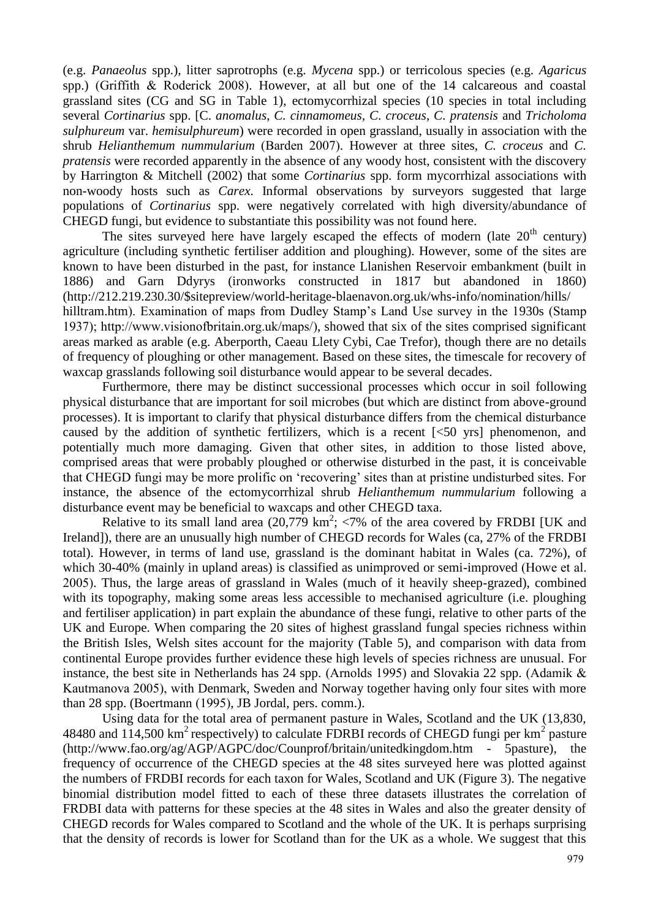(e.g. *Panaeolus* spp.), litter saprotrophs (e.g. *Mycena* spp.) or terricolous species (e.g. *Agaricus* spp.) (Griffith & Roderick 2008). However, at all but one of the 14 calcareous and coastal grassland sites (CG and SG in Table 1), ectomycorrhizal species (10 species in total including several *Cortinarius* spp. [C. *anomalus*, *C. cinnamomeus, C. croceus*, *C. pratensis* and *Tricholoma sulphureum* var. *hemisulphureum*) were recorded in open grassland, usually in association with the shrub *Helianthemum nummularium* (Barden 2007). However at three sites, *C. croceus* and *C. pratensis* were recorded apparently in the absence of any woody host, consistent with the discovery by Harrington & Mitchell (2002) that some *Cortinarius* spp. form mycorrhizal associations with non-woody hosts such as *Carex*. Informal observations by surveyors suggested that large populations of *Cortinarius* spp. were negatively correlated with high diversity/abundance of CHEGD fungi, but evidence to substantiate this possibility was not found here.

The sites surveyed here have largely escaped the effects of modern (late  $20<sup>th</sup>$  century) agriculture (including synthetic fertiliser addition and ploughing). However, some of the sites are known to have been disturbed in the past, for instance Llanishen Reservoir embankment (built in 1886) and Garn Ddyrys (ironworks constructed in 1817 but abandoned in 1860) [\(http://212.219.230.30/\\$sitepreview/world-heritage-blaenavon.org.uk/whs-info/nomination/hills/](http://212.219.230.30/$sitepreview/world-heritage-blaenavon.org.uk/whs-info/nomination/hills/hilltram.htm)  [hilltram.htm\)](http://212.219.230.30/$sitepreview/world-heritage-blaenavon.org.uk/whs-info/nomination/hills/hilltram.htm). Examination of maps from Dudley Stamp's Land Use survey in the 1930s (Stamp 1937); [http://www.visionofbritain.org.uk/maps/\)](http://www.visionofbritain.org.uk/maps/), showed that six of the sites comprised significant areas marked as arable (e.g. Aberporth, Caeau Llety Cybi, Cae Trefor), though there are no details of frequency of ploughing or other management. Based on these sites, the timescale for recovery of waxcap grasslands following soil disturbance would appear to be several decades.

Furthermore, there may be distinct successional processes which occur in soil following physical disturbance that are important for soil microbes (but which are distinct from above-ground processes). It is important to clarify that physical disturbance differs from the chemical disturbance caused by the addition of synthetic fertilizers, which is a recent  $\lceil \langle 50 \rangle$  yrs) phenomenon, and potentially much more damaging. Given that other sites, in addition to those listed above, comprised areas that were probably ploughed or otherwise disturbed in the past, it is conceivable that CHEGD fungi may be more prolific on "recovering" sites than at pristine undisturbed sites. For instance, the absence of the ectomycorrhizal shrub *Helianthemum nummularium* following a disturbance event may be beneficial to waxcaps and other CHEGD taxa.

Relative to its small land area  $(20,779 \text{ km}^2; \langle 7\% \rangle)$  of the area covered by FRDBI [UK and Ireland]), there are an unusually high number of CHEGD records for Wales (ca, 27% of the FRDBI total). However, in terms of land use, grassland is the dominant habitat in Wales (ca. 72%), of which 30-40% (mainly in upland areas) is classified as unimproved or semi-improved (Howe et al. 2005). Thus, the large areas of grassland in Wales (much of it heavily sheep-grazed), combined with its topography, making some areas less accessible to mechanised agriculture (i.e. ploughing and fertiliser application) in part explain the abundance of these fungi, relative to other parts of the UK and Europe. When comparing the 20 sites of highest grassland fungal species richness within the British Isles, Welsh sites account for the majority (Table 5), and comparison with data from continental Europe provides further evidence these high levels of species richness are unusual. For instance, the best site in Netherlands has 24 spp. (Arnolds 1995) and Slovakia 22 spp. (Adamik & Kautmanova 2005), with Denmark, Sweden and Norway together having only four sites with more than 28 spp. (Boertmann (1995), JB Jordal, pers. comm.).

Using data for the total area of permanent pasture in Wales, Scotland and the UK (13,830, 48480 and 114,500 km<sup>2</sup> respectively) to calculate FDRBI records of CHEGD fungi per  $km^2$  pasture [\(http://www.fao.org/ag/AGP/AGPC/doc/Counprof/britain/unitedkingdom.htm -](http://www.fao.org/ag/AGP/AGPC/doc/Counprof/britain/unitedkingdom.htm#5pasture) 5pasture), the frequency of occurrence of the CHEGD species at the 48 sites surveyed here was plotted against the numbers of FRDBI records for each taxon for Wales, Scotland and UK (Figure 3). The negative binomial distribution model fitted to each of these three datasets illustrates the correlation of FRDBI data with patterns for these species at the 48 sites in Wales and also the greater density of CHEGD records for Wales compared to Scotland and the whole of the UK. It is perhaps surprising that the density of records is lower for Scotland than for the UK as a whole. We suggest that this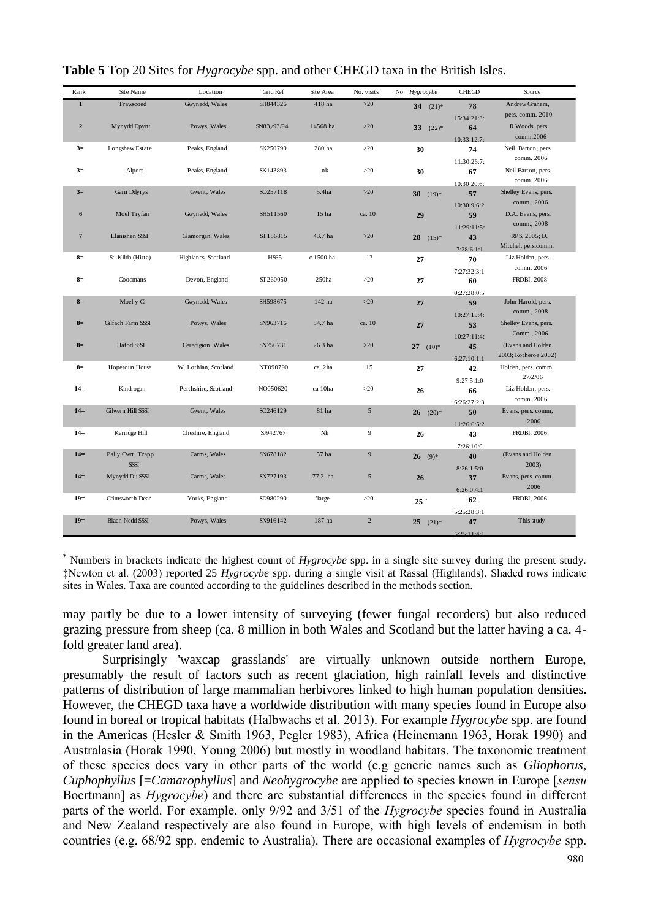| Rank           | Site Name                        | Location             | Grid Ref    | Site Area        | No. visits     | No. Hygrocybe                        | <b>CHEGD</b> | Source                     |
|----------------|----------------------------------|----------------------|-------------|------------------|----------------|--------------------------------------|--------------|----------------------------|
| $\mathbf{1}$   | Trawscoed                        | Gwynedd, Wales       | SH844326    | 418 ha           | $>20$          | 34<br>$(21)*$                        | 78           | Andrew Graham,             |
|                |                                  |                      |             |                  |                |                                      | 15:34:21:3:  | pers. comm. 2010           |
| $\mathbf 2$    | Mynydd Epynt                     | Powys, Wales         | SN83,/93/94 | 14568 ha         | $>20$          | 33<br>$(22)*$                        | 64           | R. Woods, pers.            |
|                |                                  |                      |             |                  |                |                                      | 10:33:12:7:  | comm.2006                  |
| $3=$           | Longshaw Estate                  | Peaks, England       | SK250790    | 280 ha           | >20            | 30                                   | 74           | Neil Barton, pers.         |
|                |                                  |                      |             |                  |                |                                      | 11:30:26:7:  | comm. 2006                 |
| $3=$           | Alport                           | Peaks, England       | SK143893    | nk               | >20            | 30                                   | 67           | Neil Barton, pers.         |
|                |                                  |                      |             |                  |                |                                      | 10:30:20:6:  | comm. 2006                 |
| $3=$           | Garn Ddyrys                      | Gwent, Wales         | SO257118    | 5.4ha            | $>20$          | 30 <sup>2</sup><br>$(19)*$           | 57           | Shelley Evans, pers.       |
|                |                                  |                      |             |                  |                |                                      | 10:30:9:6:2  | comm., 2006                |
| 6              | Moel Tryfan                      | Gwynedd, Wales       | SH511560    | 15 <sub>ha</sub> | ca. 10         | 29                                   | 59           | D.A. Evans, pers.          |
|                |                                  |                      |             |                  |                |                                      | 11:29:11:5:  | comm., 2008                |
| $\overline{7}$ | Llanishen SSSI                   | Glamorgan, Wales     | ST186815    | 43.7 ha          | $>20$          | $28 \quad (15)^*$                    | 43           | RPS, 2005; D.              |
|                |                                  |                      |             |                  |                |                                      | 7:28:6:1:1   | Mitchel, pers.comm.        |
| $8=$           | St. Kilda (Hirta)                | Highlands, Scotland  | <b>HS65</b> | c.1500 ha        | 1?             | 27                                   | 70           | Liz Holden, pers.          |
|                |                                  |                      |             |                  |                |                                      | 7:27:32:3:1  | comm. 2006                 |
| $8=$           | Goodmans                         | Devon, England       | ST260050    | 250ha            | $>20$          | 27                                   | 60           | <b>FRDBI, 2008</b>         |
|                |                                  |                      |             |                  |                |                                      | 0:27:28:0:5  |                            |
| $8=$           | Moel y Ci                        | Gwynedd, Wales       | SH598675    | 142 ha           | $>20$          | 27                                   | 59           | John Harold, pers.         |
|                |                                  |                      |             |                  |                |                                      | 10:27:15:4:  | comm., 2008                |
| $8=$           | Gilfach Farm SSSI                | Powys, Wales         | SN963716    | 84.7 ha          | ca. 10         | 27                                   | 53           | Shelley Evans, pers.       |
|                |                                  |                      |             |                  |                |                                      | 10:27:11:4:  | Comm., 2006                |
| $8=$           | Hafod SSSI                       | Ceredigion, Wales    | SN756731    | 26.3 ha          | $>20$          | 27 $(10)*$                           | 45           | (Evans and Holden          |
|                |                                  |                      |             |                  |                |                                      | 6:27:10:1:1  | 2003; Rotheroe 2002)       |
| $8=$           | Hopetoun House                   | W. Lothian, Scotland | NT090790    | ca. 2ha          | 15             | 27                                   | 42           | Holden, pers. comm.        |
|                |                                  |                      |             |                  |                |                                      | 9:27:5:1:0   | 27/2/06                    |
| $14=$          | Kindrogan                        | Perthshire, Scotland | NO050620    | ca 10ha          | $>20$          | 26                                   | 66           | Liz Holden, pers.          |
|                |                                  |                      |             |                  |                |                                      | 6:26:27:2:3  | comm. 2006                 |
| $14=$          | Gilwern Hill SSSI                | Gwent, Wales         | SO246129    | 81 ha            | $\sqrt{5}$     | 26<br>$(20)*$                        | 50           | Evans, pers. comm,         |
|                |                                  |                      |             |                  |                |                                      | 11:26:6:5:2  | 2006                       |
| $14=$          | Kerridge Hill                    | Cheshire, England    | SJ942767    | Nk               | $\overline{9}$ | 26                                   | 43           | <b>FRDBI</b> , 2006        |
| $14=$          |                                  | Carms, Wales         | SN678182    | 57 ha            | 9              |                                      | 7:26:10:0    | (Evans and Holden          |
|                | Pal y Cwrt, Trapp<br><b>SSSI</b> |                      |             |                  |                | $26$ (9)*                            | 40           | $2003$ )                   |
| $14=$          | Mynydd Du SSSI                   | Carms, Wales         | SN727193    | 77.2 ha          | $\mathfrak{I}$ |                                      | 8:26:1:5:0   |                            |
|                |                                  |                      |             |                  |                | 26                                   | 37           | Evans, pers. comm.<br>2006 |
| $19=$          | Crimsworth Dean                  | Yorks, England       | SD980290    | 'large'          | $>20$          |                                      | 6:26:0:4:1   | <b>FRDBI</b> , 2006        |
|                |                                  |                      |             |                  |                | $25$ <sup><math>\degree</math></sup> | 62           |                            |
| $19=$          | <b>Blaen Nedd SSSI</b>           | Powys, Wales         | SN916142    | 187 ha           | $\overline{c}$ |                                      | 5:25:28:3:1  | This study                 |
|                |                                  |                      |             |                  |                | $25$ $(21)*$                         | 47           |                            |
|                |                                  |                      |             |                  |                |                                      | 6.25.11.41   |                            |

# **Table 5** Top 20 Sites for *Hygrocybe* spp. and other CHEGD taxa in the British Isles.

\* Numbers in brackets indicate the highest count of *Hygrocybe* spp. in a single site survey during the present study. ‡Newton et al. (2003) reported 25 *Hygrocybe* spp. during a single visit at Rassal (Highlands). Shaded rows indicate sites in Wales. Taxa are counted according to the guidelines described in the methods section.

may partly be due to a lower intensity of surveying (fewer fungal recorders) but also reduced grazing pressure from sheep (ca. 8 million in both Wales and Scotland but the latter having a ca. 4 fold greater land area).

Surprisingly 'waxcap grasslands' are virtually unknown outside northern Europe, presumably the result of factors such as recent glaciation, high rainfall levels and distinctive patterns of distribution of large mammalian herbivores linked to high human population densities. However, the CHEGD taxa have a worldwide distribution with many species found in Europe also found in boreal or tropical habitats (Halbwachs et al. 2013). For example *Hygrocybe* spp. are found in the Americas (Hesler & Smith 1963, Pegler 1983), Africa (Heinemann 1963, Horak 1990) and Australasia (Horak 1990, Young 2006) but mostly in woodland habitats. The taxonomic treatment of these species does vary in other parts of the world (e.g generic names such as *Gliophorus*, *Cuphophyllus* [=*Camarophyllus*] and *Neohygrocybe* are applied to species known in Europe [*sensu* Boertmann] as *Hygrocybe*) and there are substantial differences in the species found in different parts of the world. For example, only 9/92 and 3/51 of the *Hygrocybe* species found in Australia and New Zealand respectively are also found in Europe, with high levels of endemism in both countries (e.g. 68/92 spp. endemic to Australia). There are occasional examples of *Hygrocybe* spp.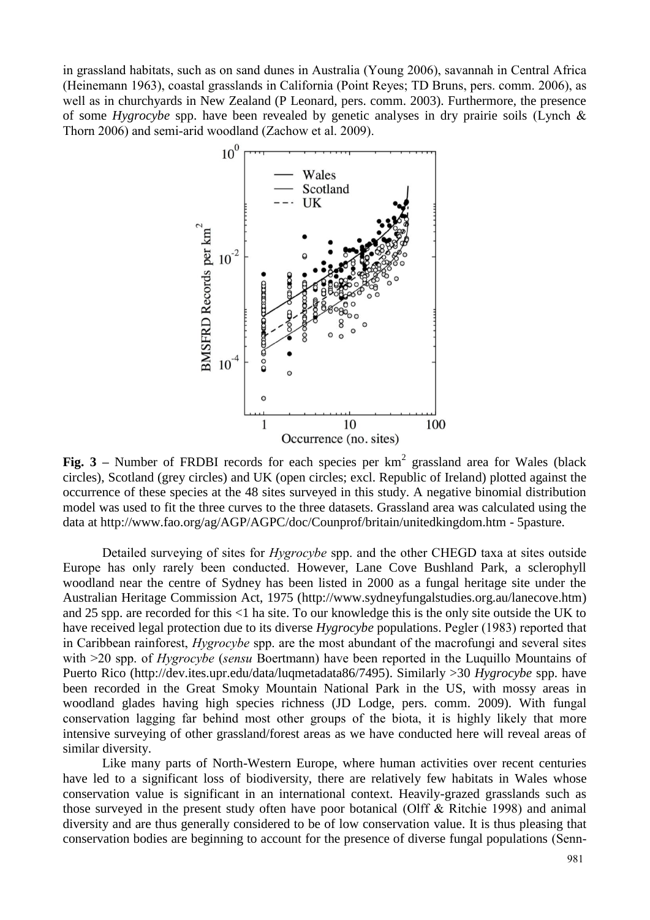in grassland habitats, such as on sand dunes in Australia (Young 2006), savannah in Central Africa (Heinemann 1963), coastal grasslands in California (Point Reyes; TD Bruns, pers. comm. 2006), as well as in churchyards in New Zealand (P Leonard, pers. comm. 2003). Furthermore, the presence of some *Hygrocybe* spp. have been revealed by genetic analyses in dry prairie soils (Lynch & Thorn 2006) and semi-arid woodland (Zachow et al. 2009).



**Fig.**  $3$  – Number of FRDBI records for each species per  $km^2$  grassland area for Wales (black circles), Scotland (grey circles) and UK (open circles; excl. Republic of Ireland) plotted against the occurrence of these species at the 48 sites surveyed in this study. A negative binomial distribution model was used to fit the three curves to the three datasets. Grassland area was calculated using the data at [http://www.fao.org/ag/AGP/AGPC/doc/Counprof/britain/unitedkingdom.htm -](http://www.fao.org/ag/AGP/AGPC/doc/Counprof/britain/unitedkingdom.htm#5pasture) 5pasture.

Detailed surveying of sites for *Hygrocybe* spp. and the other CHEGD taxa at sites outside Europe has only rarely been conducted. However, Lane Cove Bushland Park, a sclerophyll woodland near the centre of Sydney has been listed in 2000 as a fungal heritage site under the Australian Heritage Commission Act, 1975 [\(http://www.sydneyfungalstudies.org.au/lanecove.htm\)](http://www.sydneyfungalstudies.org.au/lanecove.htm) and 25 spp. are recorded for this <1 ha site. To our knowledge this is the only site outside the UK to have received legal protection due to its diverse *Hygrocybe* populations. Pegler (1983) reported that in Caribbean rainforest, *Hygrocybe* spp. are the most abundant of the macrofungi and several sites with >20 spp. of *Hygrocybe* (*sensu* Boertmann) have been reported in the Luquillo Mountains of Puerto Rico [\(http://dev.ites.upr.edu/data/luqmetadata86/7495\)](http://dev.ites.upr.edu/data/luqmetadata86/7495). Similarly >30 *Hygrocybe* spp. have been recorded in the Great Smoky Mountain National Park in the US, with mossy areas in woodland glades having high species richness (JD Lodge, pers. comm. 2009). With fungal conservation lagging far behind most other groups of the biota, it is highly likely that more intensive surveying of other grassland/forest areas as we have conducted here will reveal areas of similar diversity.

Like many parts of North-Western Europe, where human activities over recent centuries have led to a significant loss of biodiversity, there are relatively few habitats in Wales whose conservation value is significant in an international context. Heavily-grazed grasslands such as those surveyed in the present study often have poor botanical (Olff & Ritchie 1998) and animal diversity and are thus generally considered to be of low conservation value. It is thus pleasing that conservation bodies are beginning to account for the presence of diverse fungal populations (Senn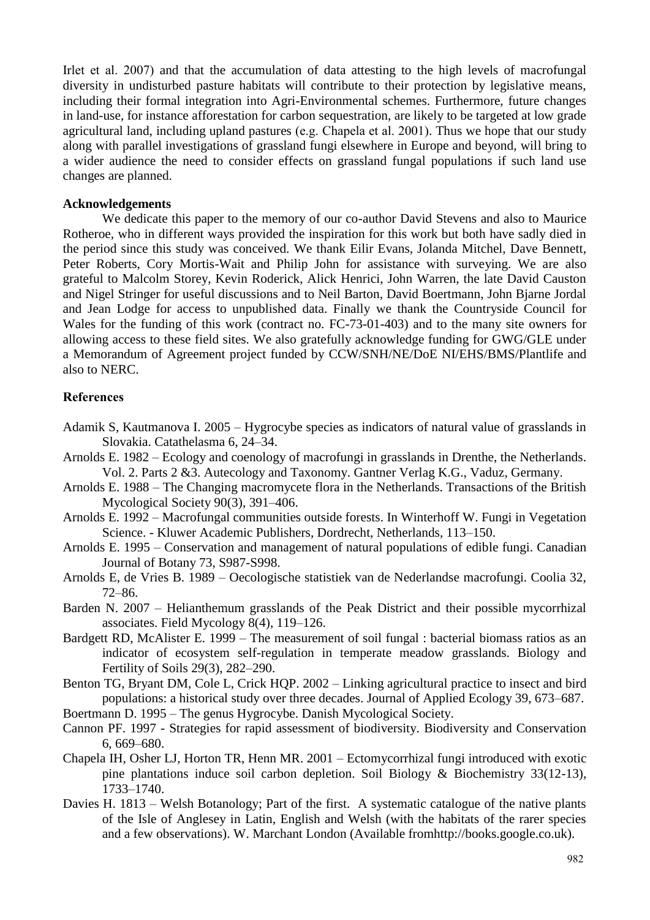Irlet et al. 2007) and that the accumulation of data attesting to the high levels of macrofungal diversity in undisturbed pasture habitats will contribute to their protection by legislative means, including their formal integration into Agri-Environmental schemes. Furthermore, future changes in land-use, for instance afforestation for carbon sequestration, are likely to be targeted at low grade agricultural land, including upland pastures (e.g. Chapela et al. 2001). Thus we hope that our study along with parallel investigations of grassland fungi elsewhere in Europe and beyond, will bring to a wider audience the need to consider effects on grassland fungal populations if such land use changes are planned.

#### **Acknowledgements**

We dedicate this paper to the memory of our co-author David Stevens and also to Maurice Rotheroe, who in different ways provided the inspiration for this work but both have sadly died in the period since this study was conceived. We thank Eilir Evans, Jolanda Mitchel, Dave Bennett, Peter Roberts, Cory Mortis-Wait and Philip John for assistance with surveying. We are also grateful to Malcolm Storey, Kevin Roderick, Alick Henrici, John Warren, the late David Causton and Nigel Stringer for useful discussions and to Neil Barton, David Boertmann, John Bjarne Jordal and Jean Lodge for access to unpublished data. Finally we thank the Countryside Council for Wales for the funding of this work (contract no. FC-73-01-403) and to the many site owners for allowing access to these field sites. We also gratefully acknowledge funding for GWG/GLE under a Memorandum of Agreement project funded by CCW/SNH/NE/DoE NI/EHS/BMS/Plantlife and also to NERC.

## **References**

- Adamik S, Kautmanova I. 2005 Hygrocybe species as indicators of natural value of grasslands in Slovakia. Catathelasma 6, 24–34.
- Arnolds E. 1982 Ecology and coenology of macrofungi in grasslands in Drenthe, the Netherlands. Vol. 2. Parts 2 &3. Autecology and Taxonomy. Gantner Verlag K.G., Vaduz, Germany.
- Arnolds E. 1988 The Changing macromycete flora in the Netherlands. Transactions of the British Mycological Society 90(3), 391–406.
- Arnolds E. 1992 Macrofungal communities outside forests. In Winterhoff W. Fungi in Vegetation Science. - Kluwer Academic Publishers, Dordrecht, Netherlands, 113–150.
- Arnolds E. 1995 Conservation and management of natural populations of edible fungi. Canadian Journal of Botany 73, S987-S998.
- Arnolds E, de Vries B. 1989 Oecologische statistiek van de Nederlandse macrofungi. Coolia 32, 72–86.
- Barden N. 2007 Helianthemum grasslands of the Peak District and their possible mycorrhizal associates. Field Mycology 8(4), 119–126.
- Bardgett RD, McAlister E. 1999 The measurement of soil fungal : bacterial biomass ratios as an indicator of ecosystem self-regulation in temperate meadow grasslands. Biology and Fertility of Soils 29(3), 282–290.
- Benton TG, Bryant DM, Cole L, Crick HQP. 2002 Linking agricultural practice to insect and bird populations: a historical study over three decades. Journal of Applied Ecology 39, 673–687.
- Boertmann D. 1995 The genus Hygrocybe. Danish Mycological Society.
- Cannon PF. 1997 Strategies for rapid assessment of biodiversity. Biodiversity and Conservation 6, 669–680.
- Chapela IH, Osher LJ, Horton TR, Henn MR. 2001 Ectomycorrhizal fungi introduced with exotic pine plantations induce soil carbon depletion. Soil Biology & Biochemistry 33(12-13), 1733–1740.
- Davies H. 1813 Welsh Botanology; Part of the first. A systematic catalogue of the native plants of the Isle of Anglesey in Latin, English and Welsh (with the habitats of the rarer species and a few observations). W. Marchant London (Available fromhttp://books.google.co.uk).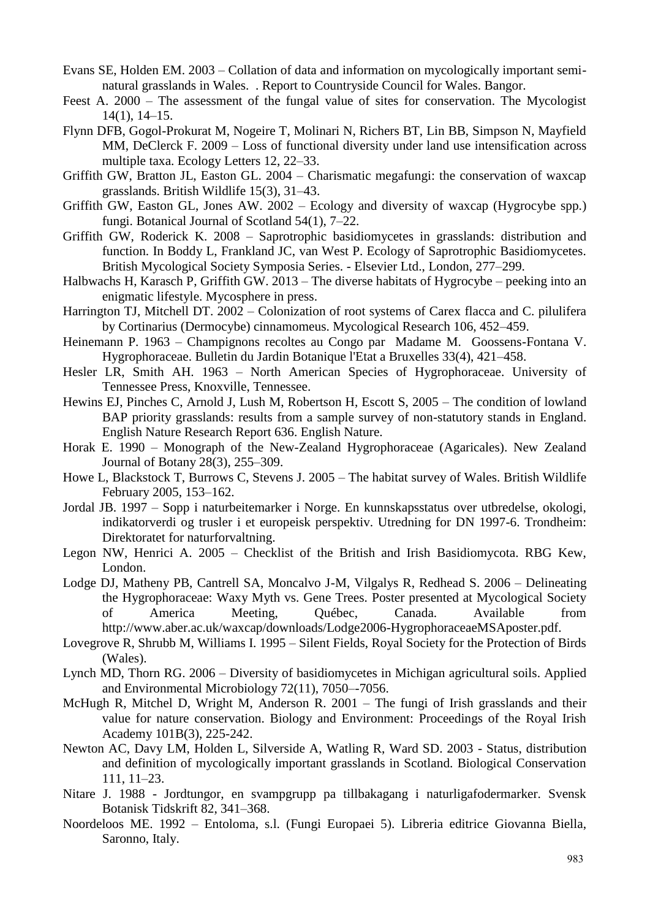- Evans SE, Holden EM. 2003 Collation of data and information on mycologically important seminatural grasslands in Wales. . Report to Countryside Council for Wales. Bangor.
- Feest A. 2000 The assessment of the fungal value of sites for conservation. The Mycologist 14(1), 14–15.
- Flynn DFB, Gogol-Prokurat M, Nogeire T, Molinari N, Richers BT, Lin BB, Simpson N, Mayfield MM, DeClerck F. 2009 – Loss of functional diversity under land use intensification across multiple taxa. Ecology Letters 12, 22–33.
- Griffith GW, Bratton JL, Easton GL. 2004 Charismatic megafungi: the conservation of waxcap grasslands. British Wildlife 15(3), 31–43.
- Griffith GW, Easton GL, Jones AW. 2002 Ecology and diversity of waxcap (Hygrocybe spp.) fungi. Botanical Journal of Scotland 54(1), 7–22.
- Griffith GW, Roderick K. 2008 Saprotrophic basidiomycetes in grasslands: distribution and function. In Boddy L, Frankland JC, van West P. Ecology of Saprotrophic Basidiomycetes. British Mycological Society Symposia Series. - Elsevier Ltd., London, 277–299.
- Halbwachs H, Karasch P, Griffith GW. 2013 The diverse habitats of Hygrocybe peeking into an enigmatic lifestyle. Mycosphere in press.
- Harrington TJ, Mitchell DT. 2002 Colonization of root systems of Carex flacca and C. pilulifera by Cortinarius (Dermocybe) cinnamomeus. Mycological Research 106, 452–459.
- Heinemann P. 1963 Champignons recoltes au Congo par Madame M. Goossens-Fontana V. Hygrophoraceae. Bulletin du Jardin Botanique l'Etat a Bruxelles 33(4), 421–458.
- Hesler LR, Smith AH. 1963 North American Species of Hygrophoraceae. University of Tennessee Press, Knoxville, Tennessee.
- Hewins EJ, Pinches C, Arnold J, Lush M, Robertson H, Escott S, 2005 The condition of lowland BAP priority grasslands: results from a sample survey of non-statutory stands in England. English Nature Research Report 636. English Nature.
- Horak E. 1990 Monograph of the New-Zealand Hygrophoraceae (Agaricales). New Zealand Journal of Botany 28(3), 255–309.
- Howe L, Blackstock T, Burrows C, Stevens J. 2005 The habitat survey of Wales. British Wildlife February 2005, 153–162.
- Jordal JB. 1997 Sopp i naturbeitemarker i Norge. En kunnskapsstatus over utbredelse, okologi, indikatorverdi og trusler i et europeisk perspektiv. Utredning for DN 1997-6. Trondheim: Direktoratet for naturforvaltning.
- Legon NW, Henrici A. 2005 Checklist of the British and Irish Basidiomycota. RBG Kew, London.
- Lodge DJ, Matheny PB, Cantrell SA, Moncalvo J-M, Vilgalys R, Redhead S. 2006 Delineating the Hygrophoraceae: Waxy Myth vs. Gene Trees. Poster presented at Mycological Society of America Meeting, Québec, Canada. Available from http://www.aber.ac.uk/waxcap/downloads/Lodge2006-HygrophoraceaeMSAposter.pdf.
- Lovegrove R, Shrubb M, Williams I. 1995 Silent Fields, Royal Society for the Protection of Birds (Wales).
- Lynch MD, Thorn RG. 2006 Diversity of basidiomycetes in Michigan agricultural soils. Applied and Environmental Microbiology 72(11), 7050–-7056.
- McHugh R, Mitchel D, Wright M, Anderson R. 2001 The fungi of Irish grasslands and their value for nature conservation. Biology and Environment: Proceedings of the Royal Irish Academy 101B(3), 225-242.
- Newton AC, Davy LM, Holden L, Silverside A, Watling R, Ward SD. 2003 Status, distribution and definition of mycologically important grasslands in Scotland. Biological Conservation 111, 11–23.
- Nitare J. 1988 Jordtungor, en svampgrupp pa tillbakagang i naturligafodermarker. Svensk Botanisk Tidskrift 82, 341–368.
- Noordeloos ME. 1992 Entoloma, s.l. (Fungi Europaei 5). Libreria editrice Giovanna Biella, Saronno, Italy.